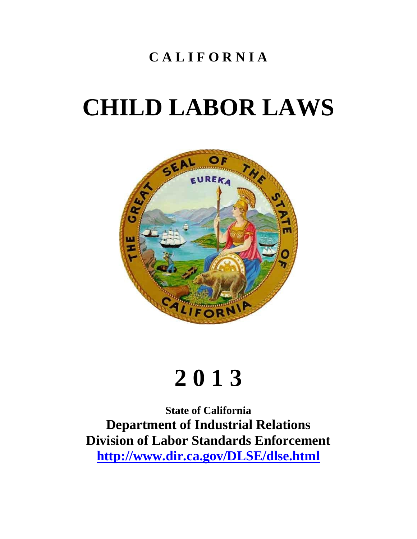## **C A L I F O R N I A**

# **CHILD LABOR LAWS**



# **2 0 1 3**

**State of California Department of Industrial Relations Division of Labor Standards Enforcement <http://www.dir.ca.gov/DLSE/dlse.html>**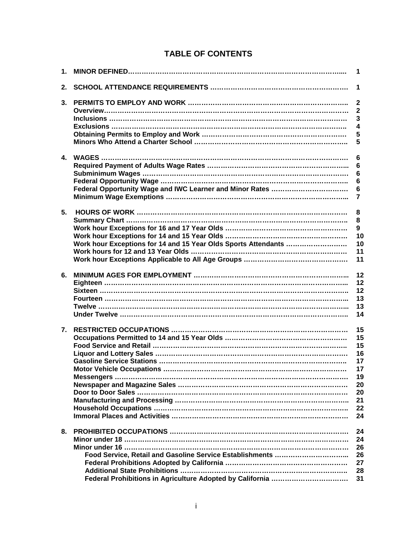## **TABLE OF CONTENTS**

|    |                                                                                                                       | 1                                                                    |
|----|-----------------------------------------------------------------------------------------------------------------------|----------------------------------------------------------------------|
| 2. |                                                                                                                       | $\mathbf 1$                                                          |
| 3. |                                                                                                                       | $\mathbf{2}$<br>$\mathbf{2}$<br>3<br>4<br>5<br>5                     |
| 4. |                                                                                                                       | 6<br>6<br>6<br>6<br>6<br>7                                           |
| 5. | Work hour Exceptions for 14 and 15 Year Olds Sports Attendants                                                        | 8<br>8<br>9<br>10<br>10<br>11<br>11                                  |
| 6. |                                                                                                                       | 12<br>12<br>12<br>13<br>13<br>14                                     |
| 7. |                                                                                                                       | 15<br>15<br>15<br>16<br>17<br>17<br>19<br>20<br>20<br>21<br>22<br>24 |
| 8. | Food Service, Retail and Gasoline Service Establishments<br>Federal Prohibitions in Agriculture Adopted by California | 24<br>24<br>26<br>26<br>27<br>28<br>31                               |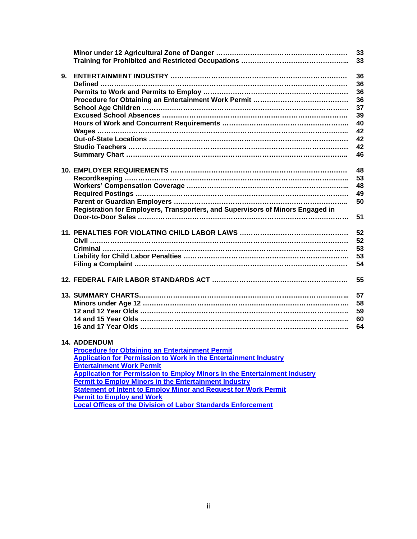|    |                                                                                                                                                                                                                                                                                                                                                                                                                                                                | 33<br>33                                                       |
|----|----------------------------------------------------------------------------------------------------------------------------------------------------------------------------------------------------------------------------------------------------------------------------------------------------------------------------------------------------------------------------------------------------------------------------------------------------------------|----------------------------------------------------------------|
| 9. |                                                                                                                                                                                                                                                                                                                                                                                                                                                                | 36<br>36<br>36<br>36<br>37<br>39<br>40<br>42<br>42<br>42<br>46 |
|    | Registration for Employers, Transporters, and Supervisors of Minors Engaged in                                                                                                                                                                                                                                                                                                                                                                                 | 48<br>53<br>48<br>49<br>50<br>51                               |
|    |                                                                                                                                                                                                                                                                                                                                                                                                                                                                | 52<br>52<br>53<br>53<br>54                                     |
|    |                                                                                                                                                                                                                                                                                                                                                                                                                                                                | 55                                                             |
|    | 12 and 12 Year Olds ………………………………………………………………………………                                                                                                                                                                                                                                                                                                                                                                                                             | 57<br>58<br>59<br>60<br>64                                     |
|    | <b>14. ADDENDUM</b><br><b>Procedure for Obtaining an Entertainment Permit</b><br><b>Application for Permission to Work in the Entertainment Industry</b><br><b>Entertainment Work Permit</b><br><b>Application for Permission to Employ Minors in the Entertainment Industry</b><br><b>Permit to Employ Minors in the Entertainment Industry</b><br><b>Statement of Intent to Employ Minor and Request for Work Permit</b><br><b>Permit to Employ and Work</b> |                                                                |

**[Local Offices of the Division of Labor Standards Enforcement](http://www.dir.ca.gov/dlse/districtOffices.htm)**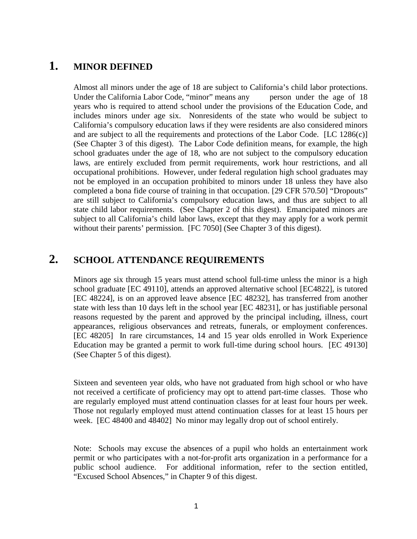## **1. MINOR DEFINED**

Almost all minors under the age of 18 are subject to California's child labor protections. Under the California Labor Code, "minor" means any person under the age of 18 years who is required to attend school under the provisions of the Education Code, and includes minors under age six. Nonresidents of the state who would be subject to California's compulsory education laws if they were residents are also considered minors and are subject to all the requirements and protections of the Labor Code. [LC 1286(c)] (See Chapter 3 of this digest). The Labor Code definition means, for example, the high school graduates under the age of 18, who are not subject to the compulsory education laws, are entirely excluded from permit requirements, work hour restrictions, and all occupational prohibitions. However, under federal regulation high school graduates may not be employed in an occupation prohibited to minors under 18 unless they have also completed a bona fide course of training in that occupation. [29 CFR 570.50] "Dropouts" are still subject to California's compulsory education laws, and thus are subject to all state child labor requirements. (See Chapter 2 of this digest). Emancipated minors are subject to all California's child labor laws, except that they may apply for a work permit without their parents' permission. [FC 7050] (See Chapter 3 of this digest).

## **2. SCHOOL ATTENDANCE REQUIREMENTS**

Minors age six through 15 years must attend school full-time unless the minor is a high school graduate [EC 49110], attends an approved alternative school [EC4822], is tutored [EC 48224], is on an approved leave absence [EC 48232], has transferred from another state with less than 10 days left in the school year [EC 48231], or has justifiable personal reasons requested by the parent and approved by the principal including, illness, court appearances, religious observances and retreats, funerals, or employment conferences. [EC 48205] In rare circumstances, 14 and 15 year olds enrolled in Work Experience Education may be granted a permit to work full-time during school hours. [EC 49130] (See Chapter 5 of this digest).

Sixteen and seventeen year olds, who have not graduated from high school or who have not received a certificate of proficiency may opt to attend part-time classes. Those who are regularly employed must attend continuation classes for at least four hours per week. Those not regularly employed must attend continuation classes for at least 15 hours per week. [EC 48400 and 48402] No minor may legally drop out of school entirely.

Note: Schools may excuse the absences of a pupil who holds an entertainment work permit or who participates with a not-for-profit arts organization in a performance for a public school audience. For additional information, refer to the section entitled, "Excused School Absences," in Chapter 9 of this digest.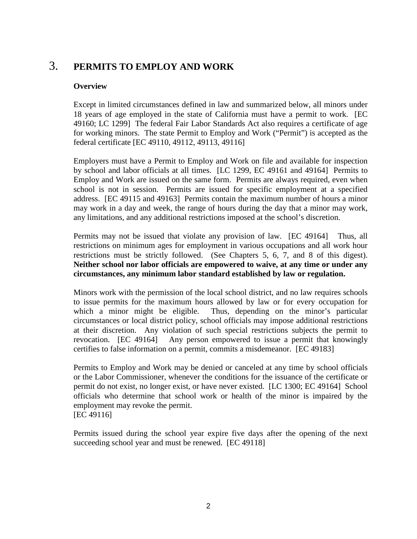## 3. **PERMITS TO EMPLOY AND WORK**

#### **Overview**

Except in limited circumstances defined in law and summarized below, all minors under 18 years of age employed in the state of California must have a permit to work. [EC 49160; LC 1299] The federal Fair Labor Standards Act also requires a certificate of age for working minors. The state Permit to Employ and Work ("Permit") is accepted as the federal certificate [EC 49110, 49112, 49113, 49116]

Employers must have a Permit to Employ and Work on file and available for inspection by school and labor officials at all times. [LC 1299, EC 49161 and 49164] Permits to Employ and Work are issued on the same form. Permits are always required, even when school is not in session. Permits are issued for specific employment at a specified address. [EC 49115 and 49163] Permits contain the maximum number of hours a minor may work in a day and week, the range of hours during the day that a minor may work, any limitations, and any additional restrictions imposed at the school's discretion.

Permits may not be issued that violate any provision of law. [EC 49164] Thus, all restrictions on minimum ages for employment in various occupations and all work hour restrictions must be strictly followed. (See Chapters 5, 6, 7, and 8 of this digest). **Neither school nor labor officials are empowered to waive, at any time or under any circumstances, any minimum labor standard established by law or regulation.**

Minors work with the permission of the local school district, and no law requires schools to issue permits for the maximum hours allowed by law or for every occupation for which a minor might be eligible. Thus, depending on the minor's particular circumstances or local district policy, school officials may impose additional restrictions at their discretion. Any violation of such special restrictions subjects the permit to revocation. [EC 49164] Any person empowered to issue a permit that knowingly certifies to false information on a permit, commits a misdemeanor. [EC 49183]

Permits to Employ and Work may be denied or canceled at any time by school officials or the Labor Commissioner, whenever the conditions for the issuance of the certificate or permit do not exist, no longer exist, or have never existed. [LC 1300; EC 49164] School officials who determine that school work or health of the minor is impaired by the employment may revoke the permit. [EC 49116]

Permits issued during the school year expire five days after the opening of the next succeeding school year and must be renewed. [EC 49118]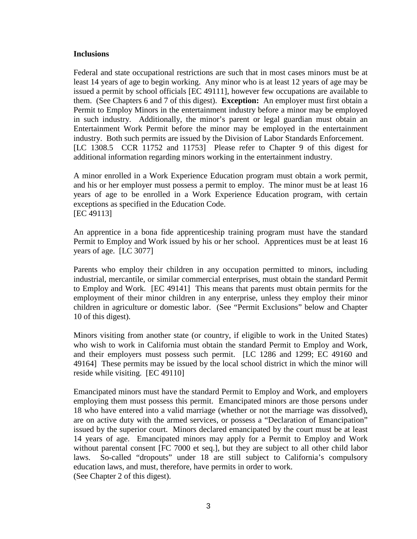#### **Inclusions**

Federal and state occupational restrictions are such that in most cases minors must be at least 14 years of age to begin working. Any minor who is at least 12 years of age may be issued a permit by school officials [EC 49111], however few occupations are available to them. (See Chapters 6 and 7 of this digest). **Exception:** An employer must first obtain a Permit to Employ Minors in the entertainment industry before a minor may be employed in such industry. Additionally, the minor's parent or legal guardian must obtain an Entertainment Work Permit before the minor may be employed in the entertainment industry. Both such permits are issued by the Division of Labor Standards Enforcement. [LC 1308.5 CCR 11752 and 11753] Please refer to Chapter 9 of this digest for additional information regarding minors working in the entertainment industry.

A minor enrolled in a Work Experience Education program must obtain a work permit, and his or her employer must possess a permit to employ. The minor must be at least 16 years of age to be enrolled in a Work Experience Education program, with certain exceptions as specified in the Education Code. [EC 49113]

An apprentice in a bona fide apprenticeship training program must have the standard Permit to Employ and Work issued by his or her school. Apprentices must be at least 16 years of age. [LC 3077]

Parents who employ their children in any occupation permitted to minors, including industrial, mercantile, or similar commercial enterprises, must obtain the standard Permit to Employ and Work. [EC 49141] This means that parents must obtain permits for the employment of their minor children in any enterprise, unless they employ their minor children in agriculture or domestic labor. (See "Permit Exclusions" below and Chapter 10 of this digest).

Minors visiting from another state (or country, if eligible to work in the United States) who wish to work in California must obtain the standard Permit to Employ and Work, and their employers must possess such permit. [LC 1286 and 1299; EC 49160 and 49164] These permits may be issued by the local school district in which the minor will reside while visiting. [EC 49110]

Emancipated minors must have the standard Permit to Employ and Work, and employers employing them must possess this permit. Emancipated minors are those persons under 18 who have entered into a valid marriage (whether or not the marriage was dissolved), are on active duty with the armed services, or possess a "Declaration of Emancipation" issued by the superior court. Minors declared emancipated by the court must be at least 14 years of age. Emancipated minors may apply for a Permit to Employ and Work without parental consent [FC 7000 et seq.], but they are subject to all other child labor laws. So-called "dropouts" under 18 are still subject to California's compulsory education laws, and must, therefore, have permits in order to work. (See Chapter 2 of this digest).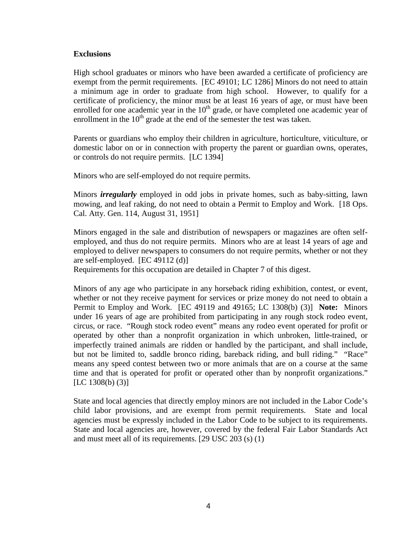#### **Exclusions**

High school graduates or minors who have been awarded a certificate of proficiency are exempt from the permit requirements. [EC 49101; LC 1286] Minors do not need to attain a minimum age in order to graduate from high school. However, to qualify for a certificate of proficiency, the minor must be at least 16 years of age, or must have been enrolled for one academic year in the  $10<sup>th</sup>$  grade, or have completed one academic year of enrollment in the  $10<sup>th</sup>$  grade at the end of the semester the test was taken.

Parents or guardians who employ their children in agriculture, horticulture, viticulture, or domestic labor on or in connection with property the parent or guardian owns, operates, or controls do not require permits. [LC 1394]

Minors who are self-employed do not require permits.

Minors *irregularly* employed in odd jobs in private homes, such as baby-sitting, lawn mowing, and leaf raking, do not need to obtain a Permit to Employ and Work. [18 Ops. Cal. Atty. Gen. 114, August 31, 1951]

Minors engaged in the sale and distribution of newspapers or magazines are often selfemployed, and thus do not require permits. Minors who are at least 14 years of age and employed to deliver newspapers to consumers do not require permits, whether or not they are self-employed. [EC 49112 (d)]

Requirements for this occupation are detailed in Chapter 7 of this digest.

Minors of any age who participate in any horseback riding exhibition, contest, or event, whether or not they receive payment for services or prize money do not need to obtain a Permit to Employ and Work. [EC 49119 and 49165; LC 1308(b) (3)] **Note:** Minors under 16 years of age are prohibited from participating in any rough stock rodeo event, circus, or race. "Rough stock rodeo event" means any rodeo event operated for profit or operated by other than a nonprofit organization in which unbroken, little-trained, or imperfectly trained animals are ridden or handled by the participant, and shall include, but not be limited to, saddle bronco riding, bareback riding, and bull riding." "Race" means any speed contest between two or more animals that are on a course at the same time and that is operated for profit or operated other than by nonprofit organizations." [LC 1308(b)  $(3)$ ]

State and local agencies that directly employ minors are not included in the Labor Code's child labor provisions, and are exempt from permit requirements. State and local agencies must be expressly included in the Labor Code to be subject to its requirements. State and local agencies are, however, covered by the federal Fair Labor Standards Act and must meet all of its requirements. [29 USC 203 (s) (1)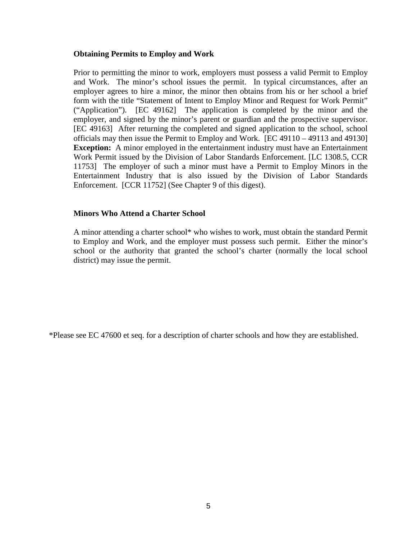#### **Obtaining Permits to Employ and Work**

Prior to permitting the minor to work, employers must possess a valid Permit to Employ and Work. The minor's school issues the permit. In typical circumstances, after an employer agrees to hire a minor, the minor then obtains from his or her school a brief form with the title "Statement of Intent to Employ Minor and Request for Work Permit" ("Application"). [EC 49162] The application is completed by the minor and the employer, and signed by the minor's parent or guardian and the prospective supervisor. [EC 49163] After returning the completed and signed application to the school, school officials may then issue the Permit to Employ and Work. [EC 49110 – 49113 and 49130] **Exception:** A minor employed in the entertainment industry must have an Entertainment Work Permit issued by the Division of Labor Standards Enforcement. [LC 1308.5, CCR 11753] The employer of such a minor must have a Permit to Employ Minors in the Entertainment Industry that is also issued by the Division of Labor Standards Enforcement. [CCR 11752] (See Chapter 9 of this digest).

#### **Minors Who Attend a Charter School**

A minor attending a charter school\* who wishes to work, must obtain the standard Permit to Employ and Work, and the employer must possess such permit. Either the minor's school or the authority that granted the school's charter (normally the local school district) may issue the permit.

\*Please see EC 47600 et seq. for a description of charter schools and how they are established.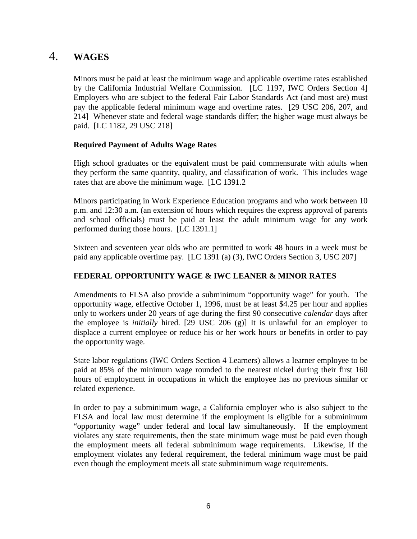## 4. **WAGES**

Minors must be paid at least the minimum wage and applicable overtime rates established by the California Industrial Welfare Commission. [LC 1197, IWC Orders Section 4] Employers who are subject to the federal Fair Labor Standards Act (and most are) must pay the applicable federal minimum wage and overtime rates. [29 USC 206, 207, and 214] Whenever state and federal wage standards differ; the higher wage must always be paid. [LC 1182, 29 USC 218]

#### **Required Payment of Adults Wage Rates**

High school graduates or the equivalent must be paid commensurate with adults when they perform the same quantity, quality, and classification of work. This includes wage rates that are above the minimum wage. [LC 1391.2

Minors participating in Work Experience Education programs and who work between 10 p.m. and 12:30 a.m. (an extension of hours which requires the express approval of parents and school officials) must be paid at least the adult minimum wage for any work performed during those hours. [LC 1391.1]

Sixteen and seventeen year olds who are permitted to work 48 hours in a week must be paid any applicable overtime pay. [LC 1391 (a) (3), IWC Orders Section 3, USC 207]

#### **FEDERAL OPPORTUNITY WAGE & IWC LEANER & MINOR RATES**

Amendments to FLSA also provide a subminimum "opportunity wage" for youth. The opportunity wage, effective October 1, 1996, must be at least \$4.25 per hour and applies only to workers under 20 years of age during the first 90 consecutive *calendar* days after the employee is *initially* hired. [29 USC 206 (g)] It is unlawful for an employer to displace a current employee or reduce his or her work hours or benefits in order to pay the opportunity wage.

State labor regulations (IWC Orders Section 4 Learners) allows a learner employee to be paid at 85% of the minimum wage rounded to the nearest nickel during their first 160 hours of employment in occupations in which the employee has no previous similar or related experience.

In order to pay a subminimum wage, a California employer who is also subject to the FLSA and local law must determine if the employment is eligible for a subminimum "opportunity wage" under federal and local law simultaneously. If the employment violates any state requirements, then the state minimum wage must be paid even though the employment meets all federal subminimum wage requirements. Likewise, if the employment violates any federal requirement, the federal minimum wage must be paid even though the employment meets all state subminimum wage requirements.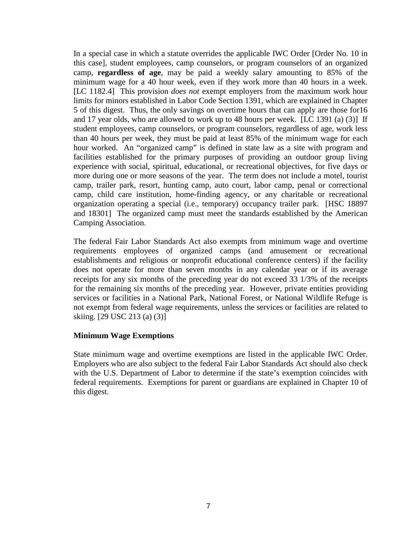In a special case in which a statute overrides the applicable IWC Order [Order No. 10 in this case], student employees, camp counselors, or program counselors of an organized camp, **regardless of age**, may be paid a weekly salary amounting to 85% of the minimum wage for a 40 hour week, even if they work more than 40 hours in a week. [LC 1182.4] This provision *does not* exempt employers from the maximum work hour limits for minors established in Labor Code Section 1391, which are explained in Chapter 5 of this digest. Thus, the only savings on overtime hours that can apply are those for16 and 17 year olds, who are allowed to work up to 48 hours per week. [LC 1391 (a) (3)] If student employees, camp counselors, or program counselors, regardless of age, work less than 40 hours per week, they must be paid at least 85% of the minimum wage for each hour worked. An "organized camp" is defined in state law as a site with program and facilities established for the primary purposes of providing an outdoor group living experience with social, spiritual, educational, or recreational objectives, for five days or more during one or more seasons of the year. The term does not include a motel, tourist camp, trailer park, resort, hunting camp, auto court, labor camp, penal or correctional camp, child care institution, home-finding agency, or any charitable or recreational organization operating a special (i.e., temporary) occupancy trailer park. [HSC 18897 and 18301] The organized camp must meet the standards established by the American Camping Association.

The federal Fair Labor Standards Act also exempts from minimum wage and overtime requirements employees of organized camps (and amusement or recreational establishments and religious or nonprofit educational conference centers) if the facility does not operate for more than seven months in any calendar year or if its average receipts for any six months of the preceding year do not exceed 33 1/3% of the receipts for the remaining six months of the preceding year. However, private entities providing services or facilities in a National Park, National Forest, or National Wildlife Refuge is not exempt from federal wage requirements, unless the services or facilities are related to skiing. [29 USC 213 (a) (3)]

#### **Minimum Wage Exemptions**

State minimum wage and overtime exemptions are listed in the applicable IWC Order. Employers who are also subject to the federal Fair Labor Standards Act should also check with the U.S. Department of Labor to determine if the state's exemption coincides with federal requirements. Exemptions for parent or guardians are explained in Chapter 10 of this digest.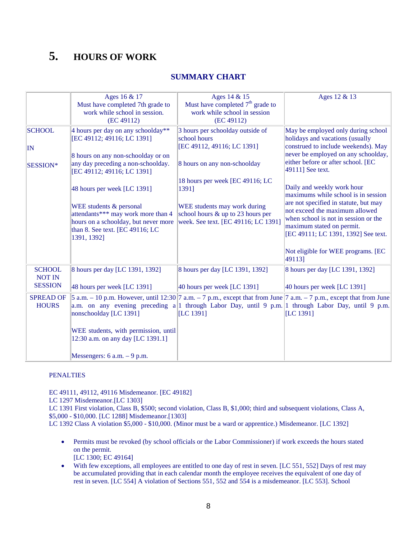## **5. HOURS OF WORK**

#### **SUMMARY CHART**

|                                                  | Ages 16 & 17<br>Must have completed 7th grade to<br>work while school in session.<br>(EC 49112)                                                         | Ages 14 & 15<br>Must have completed $7th$ grade to<br>work while school in session<br>(EC 49112)         | Ages 12 & 13                                                                                                                                                                                                                                                    |
|--------------------------------------------------|---------------------------------------------------------------------------------------------------------------------------------------------------------|----------------------------------------------------------------------------------------------------------|-----------------------------------------------------------------------------------------------------------------------------------------------------------------------------------------------------------------------------------------------------------------|
| <b>SCHOOL</b><br>$\mathbf I\mathbf N$            | 4 hours per day on any schoolday**<br>[EC 49112; 49116; LC 1391]                                                                                        | 3 hours per schoolday outside of<br>school hours<br>[EC 49112, 49116; LC 1391]                           | May be employed only during school<br>holidays and vacations (usually<br>construed to include weekends). May                                                                                                                                                    |
| SESSION*                                         | 8 hours on any non-schoolday or on<br>any day preceding a non-schoolday.<br>[EC 49112; 49116; LC 1391]                                                  | 8 hours on any non-schoolday                                                                             | never be employed on any schoolday,<br>either before or after school. [EC<br>49111] See text.                                                                                                                                                                   |
|                                                  | 48 hours per week [LC 1391]                                                                                                                             | 18 hours per week [EC 49116; LC<br>1391]                                                                 | Daily and weekly work hour<br>maximums while school is in session                                                                                                                                                                                               |
|                                                  | WEE students & personal<br>attendants*** may work more than 4<br>hours on a schoolday, but never more<br>than 8. See text. [EC 49116; LC<br>1391, 1392] | WEE students may work during<br>school hours & up to 23 hours per<br>week. See text. [EC 49116; LC 1391] | are not specified in statute, but may<br>not exceed the maximum allowed<br>when school is not in session or the<br>maximum stated on permit.<br>[EC 49111; LC 1391, 1392] See text.                                                                             |
|                                                  |                                                                                                                                                         |                                                                                                          | Not eligible for WEE programs. [EC<br>49113]                                                                                                                                                                                                                    |
| <b>SCHOOL</b><br><b>NOT IN</b><br><b>SESSION</b> | 8 hours per day [LC 1391, 1392]<br>48 hours per week [LC 1391]                                                                                          | 8 hours per day [LC 1391, 1392]<br>$ 40$ hours per week [LC 1391]                                        | 8 hours per day [LC 1391, 1392]<br>$ 40$ hours per week [LC 1391]                                                                                                                                                                                               |
| <b>SPREAD OF</b><br><b>HOURS</b>                 | nonschoolday [LC 1391]                                                                                                                                  | [LC 1391]                                                                                                | 5 a.m. – 10 p.m. However, until 12:30 $\frac{7}{2}$ a.m. – 7 p.m., except that from June $\frac{7}{2}$ a.m. – 7 p.m., except that from June<br>a.m. on any evening preceding a 1 through Labor Day, until 9 p.m. 1 through Labor Day, until 9 p.m.<br>[LC 1391] |
|                                                  | WEE students, with permission, until<br>12:30 a.m. on any day [LC 1391.1]                                                                               |                                                                                                          |                                                                                                                                                                                                                                                                 |
|                                                  | Messengers: $6 a.m. - 9 p.m.$                                                                                                                           |                                                                                                          |                                                                                                                                                                                                                                                                 |

#### **PENALTIES**

EC 49111, 49112, 49116 Misdemeanor. [EC 49182]

LC 1297 Misdemeanor.[LC 1303]

LC 1391 First violation, Class B, \$500; second violation, Class B, \$1,000; third and subsequent violations, Class A, \$5,000 - \$10,000. [LC 1288] Misdemeanor.[1303]

LC 1392 Class A violation \$5,000 - \$10,000. (Minor must be a ward or apprentice.) Misdemeanor. [LC 1392]

- Permits must be revoked (by school officials or the Labor Commissioner) if work exceeds the hours stated on the permit. [LC 1300; EC 49164]
- With few exceptions, all employees are entitled to one day of rest in seven. [LC 551, 552] Days of rest may be accumulated providing that in each calendar month the employee receives the equivalent of one day of rest in seven. [LC 554] A violation of Sections 551, 552 and 554 is a misdemeanor. [LC 553]. School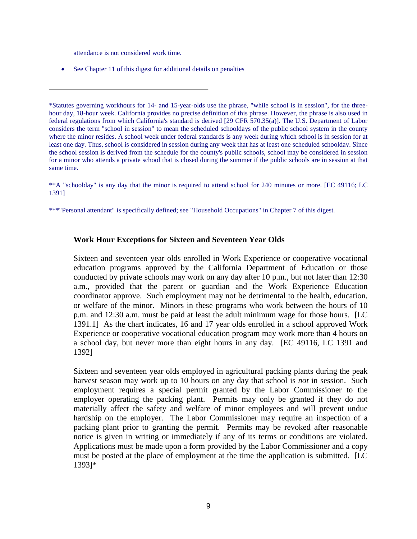attendance is not considered work time.

• See Chapter 11 of this digest for additional details on penalties

\*Statutes governing workhours for 14- and 15-year-olds use the phrase, "while school is in session", for the threehour day, 18-hour week. California provides no precise definition of this phrase. However, the phrase is also used in federal regulations from which California's standard is derived [29 CFR 570.35(a)]. The U.S. Department of Labor considers the term "school in session" to mean the scheduled schooldays of the public school system in the county where the minor resides. A school week under federal standards is any week during which school is in session for at least one day. Thus, school is considered in session during any week that has at least one scheduled schoolday. Since the school session is derived from the schedule for the county's public schools, school may be considered in session for a minor who attends a private school that is closed during the summer if the public schools are in session at that same time.

\*\*A "schoolday" is any day that the minor is required to attend school for 240 minutes or more. [EC 49116; LC 1391]

\*\*\*"Personal attendant" is specifically defined; see "Household Occupations" in Chapter 7 of this digest.

#### **Work Hour Exceptions for Sixteen and Seventeen Year Olds**

Sixteen and seventeen year olds enrolled in Work Experience or cooperative vocational education programs approved by the California Department of Education or those conducted by private schools may work on any day after 10 p.m., but not later than 12:30 a.m., provided that the parent or guardian and the Work Experience Education coordinator approve. Such employment may not be detrimental to the health, education, or welfare of the minor. Minors in these programs who work between the hours of 10 p.m. and 12:30 a.m. must be paid at least the adult minimum wage for those hours. [LC 1391.1] As the chart indicates, 16 and 17 year olds enrolled in a school approved Work Experience or cooperative vocational education program may work more than 4 hours on a school day, but never more than eight hours in any day. [EC 49116, LC 1391 and 1392]

Sixteen and seventeen year olds employed in agricultural packing plants during the peak harvest season may work up to 10 hours on any day that school is *not* in session. Such employment requires a special permit granted by the Labor Commissioner to the employer operating the packing plant. Permits may only be granted if they do not materially affect the safety and welfare of minor employees and will prevent undue hardship on the employer. The Labor Commissioner may require an inspection of a packing plant prior to granting the permit. Permits may be revoked after reasonable notice is given in writing or immediately if any of its terms or conditions are violated. Applications must be made upon a form provided by the Labor Commissioner and a copy must be posted at the place of employment at the time the application is submitted. [LC 1393]\*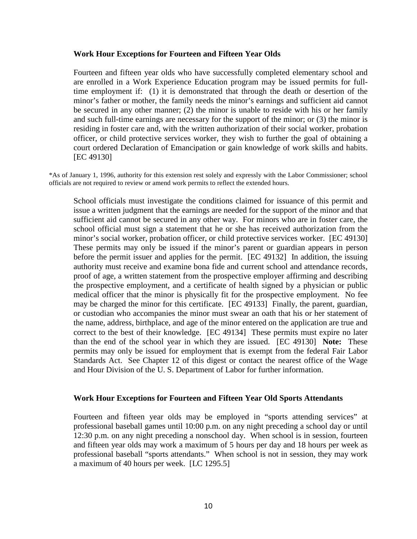#### **Work Hour Exceptions for Fourteen and Fifteen Year Olds**

Fourteen and fifteen year olds who have successfully completed elementary school and are enrolled in a Work Experience Education program may be issued permits for fulltime employment if: (1) it is demonstrated that through the death or desertion of the minor's father or mother, the family needs the minor's earnings and sufficient aid cannot be secured in any other manner; (2) the minor is unable to reside with his or her family and such full-time earnings are necessary for the support of the minor; or (3) the minor is residing in foster care and, with the written authorization of their social worker, probation officer, or child protective services worker, they wish to further the goal of obtaining a court ordered Declaration of Emancipation or gain knowledge of work skills and habits. [EC 49130]

\*As of January 1, 1996, authority for this extension rest solely and expressly with the Labor Commissioner; school officials are not required to review or amend work permits to reflect the extended hours.

School officials must investigate the conditions claimed for issuance of this permit and issue a written judgment that the earnings are needed for the support of the minor and that sufficient aid cannot be secured in any other way. For minors who are in foster care, the school official must sign a statement that he or she has received authorization from the minor's social worker, probation officer, or child protective services worker. [EC 49130] These permits may only be issued if the minor's parent or guardian appears in person before the permit issuer and applies for the permit. [EC 49132] In addition, the issuing authority must receive and examine bona fide and current school and attendance records, proof of age, a written statement from the prospective employer affirming and describing the prospective employment, and a certificate of health signed by a physician or public medical officer that the minor is physically fit for the prospective employment. No fee may be charged the minor for this certificate. [EC 49133] Finally, the parent, guardian, or custodian who accompanies the minor must swear an oath that his or her statement of the name, address, birthplace, and age of the minor entered on the application are true and correct to the best of their knowledge. [EC 49134] These permits must expire no later than the end of the school year in which they are issued. [EC 49130] **Note:** These permits may only be issued for employment that is exempt from the federal Fair Labor Standards Act. See Chapter 12 of this digest or contact the nearest office of the Wage and Hour Division of the U. S. Department of Labor for further information.

#### **Work Hour Exceptions for Fourteen and Fifteen Year Old Sports Attendants**

Fourteen and fifteen year olds may be employed in "sports attending services" at professional baseball games until 10:00 p.m. on any night preceding a school day or until 12:30 p.m. on any night preceding a nonschool day. When school is in session, fourteen and fifteen year olds may work a maximum of 5 hours per day and 18 hours per week as professional baseball "sports attendants." When school is not in session, they may work a maximum of 40 hours per week. [LC 1295.5]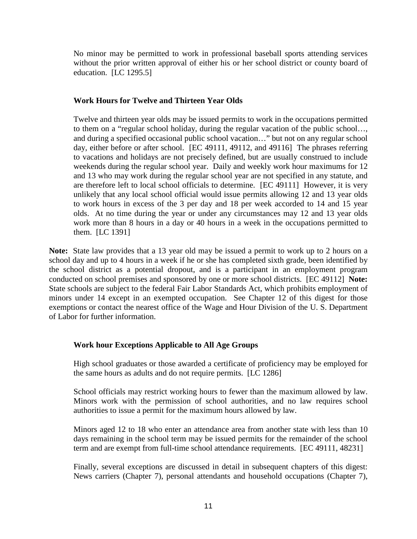No minor may be permitted to work in professional baseball sports attending services without the prior written approval of either his or her school district or county board of education. [LC 1295.5]

#### **Work Hours for Twelve and Thirteen Year Olds**

Twelve and thirteen year olds may be issued permits to work in the occupations permitted to them on a "regular school holiday, during the regular vacation of the public school…, and during a specified occasional public school vacation…" but not on any regular school day, either before or after school. [EC 49111, 49112, and 49116] The phrases referring to vacations and holidays are not precisely defined, but are usually construed to include weekends during the regular school year. Daily and weekly work hour maximums for 12 and 13 who may work during the regular school year are not specified in any statute, and are therefore left to local school officials to determine. [EC 49111] However, it is very unlikely that any local school official would issue permits allowing 12 and 13 year olds to work hours in excess of the 3 per day and 18 per week accorded to 14 and 15 year olds. At no time during the year or under any circumstances may 12 and 13 year olds work more than 8 hours in a day or 40 hours in a week in the occupations permitted to them. [LC 1391]

**Note:** State law provides that a 13 year old may be issued a permit to work up to 2 hours on a school day and up to 4 hours in a week if he or she has completed sixth grade, been identified by the school district as a potential dropout, and is a participant in an employment program conducted on school premises and sponsored by one or more school districts. [EC 49112] **Note:** State schools are subject to the federal Fair Labor Standards Act, which prohibits employment of minors under 14 except in an exempted occupation. See Chapter 12 of this digest for those exemptions or contact the nearest office of the Wage and Hour Division of the U. S. Department of Labor for further information.

#### **Work hour Exceptions Applicable to All Age Groups**

High school graduates or those awarded a certificate of proficiency may be employed for the same hours as adults and do not require permits. [LC 1286]

School officials may restrict working hours to fewer than the maximum allowed by law. Minors work with the permission of school authorities, and no law requires school authorities to issue a permit for the maximum hours allowed by law.

Minors aged 12 to 18 who enter an attendance area from another state with less than 10 days remaining in the school term may be issued permits for the remainder of the school term and are exempt from full-time school attendance requirements. [EC 49111, 48231]

Finally, several exceptions are discussed in detail in subsequent chapters of this digest: News carriers (Chapter 7), personal attendants and household occupations (Chapter 7),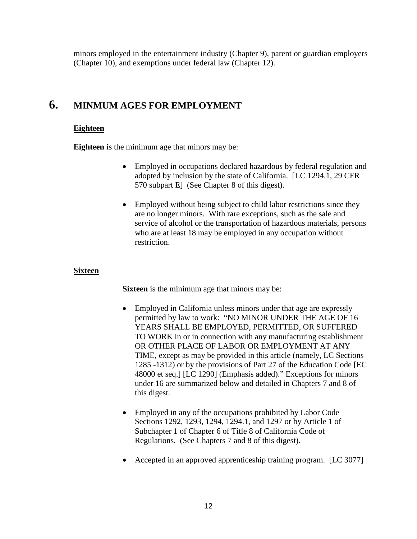minors employed in the entertainment industry (Chapter 9), parent or guardian employers (Chapter 10), and exemptions under federal law (Chapter 12).

## **6. MINMUM AGES FOR EMPLOYMENT**

#### **Eighteen**

**Eighteen** is the minimum age that minors may be:

- Employed in occupations declared hazardous by federal regulation and adopted by inclusion by the state of California. [LC 1294.1, 29 CFR 570 subpart E] (See Chapter 8 of this digest).
- Employed without being subject to child labor restrictions since they are no longer minors. With rare exceptions, such as the sale and service of alcohol or the transportation of hazardous materials, persons who are at least 18 may be employed in any occupation without restriction.

#### **Sixteen**

**Sixteen** is the minimum age that minors may be:

- Employed in California unless minors under that age are expressly permitted by law to work: "NO MINOR UNDER THE AGE OF 16 YEARS SHALL BE EMPLOYED, PERMITTED, OR SUFFERED TO WORK in or in connection with any manufacturing establishment OR OTHER PLACE OF LABOR OR EMPLOYMENT AT ANY TIME, except as may be provided in this article (namely, LC Sections 1285 -1312) or by the provisions of Part 27 of the Education Code [EC 48000 et seq.] [LC 1290] (Emphasis added)." Exceptions for minors under 16 are summarized below and detailed in Chapters 7 and 8 of this digest.
- Employed in any of the occupations prohibited by Labor Code Sections 1292, 1293, 1294, 1294.1, and 1297 or by Article 1 of Subchapter 1 of Chapter 6 of Title 8 of California Code of Regulations. (See Chapters 7 and 8 of this digest).
- Accepted in an approved apprenticeship training program. [LC 3077]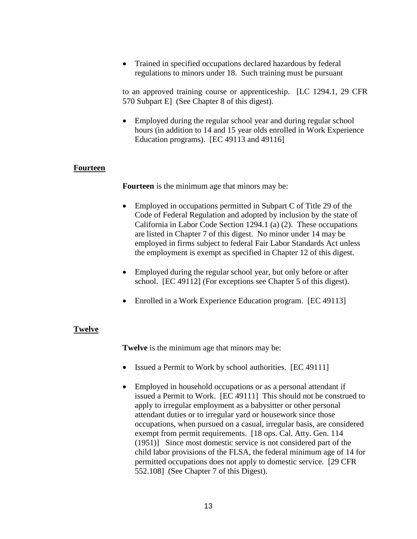• Trained in specified occupations declared hazardous by federal regulations to minors under 18. Such training must be pursuant

to an approved training course or apprenticeship. [LC 1294.1, 29 CFR 570 Subpart E] (See Chapter 8 of this digest).

• Employed during the regular school year and during regular school hours (in addition to 14 and 15 year olds enrolled in Work Experience Education programs). [EC 49113 and 49116]

#### **Fourteen**

**Fourteen** is the minimum age that minors may be:

- Employed in occupations permitted in Subpart C of Title 29 of the Code of Federal Regulation and adopted by inclusion by the state of California in Labor Code Section 1294.1 (a) (2). These occupations are listed in Chapter 7 of this digest. No minor under 14 may be employed in firms subject to federal Fair Labor Standards Act unless the employment is exempt as specified in Chapter 12 of this digest.
- Employed during the regular school year, but only before or after school. [EC 49112] (For exceptions see Chapter 5 of this digest).
- Enrolled in a Work Experience Education program. [EC 49113]

#### **Twelve**

**Twelve** is the minimum age that minors may be:

- Issued a Permit to Work by school authorities. [EC 49111]
- Employed in household occupations or as a personal attendant if issued a Permit to Work. [EC 49111] This should not be construed to apply to irregular employment as a babysitter or other personal attendant duties or to irregular yard or housework since those occupations, when pursued on a casual, irregular basis, are considered exempt from permit requirements. [18 ops. Cal. Atty. Gen. 114 (1951)] Since most domestic service is not considered part of the child labor provisions of the FLSA, the federal minimum age of 14 for permitted occupations does not apply to domestic service. [29 CFR 552.108] (See Chapter 7 of this Digest).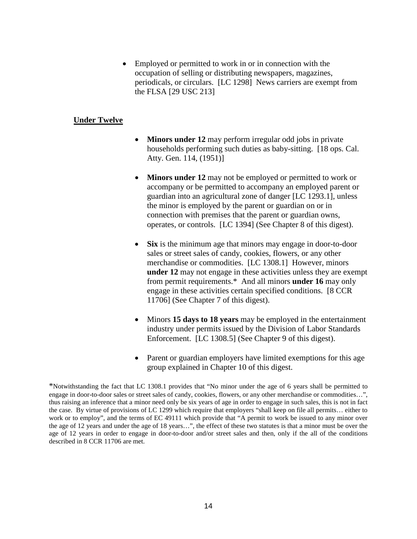• Employed or permitted to work in or in connection with the occupation of selling or distributing newspapers, magazines, periodicals, or circulars. [LC 1298] News carriers are exempt from the FLSA [29 USC 213]

#### **Under Twelve**

- **Minors under 12** may perform irregular odd jobs in private households performing such duties as baby-sitting. [18 ops. Cal. Atty. Gen. 114, (1951)]
- **Minors under 12** may not be employed or permitted to work or accompany or be permitted to accompany an employed parent or guardian into an agricultural zone of danger [LC 1293.1], unless the minor is employed by the parent or guardian on or in connection with premises that the parent or guardian owns, operates, or controls. [LC 1394] (See Chapter 8 of this digest).
- **Six** is the minimum age that minors may engage in door-to-door sales or street sales of candy, cookies, flowers, or any other merchandise or commodities. [LC 1308.1] However, minors **under 12** may not engage in these activities unless they are exempt from permit requirements.\* And all minors **under 16** may only engage in these activities certain specified conditions. [8 CCR 11706] (See Chapter 7 of this digest).
- Minors **15 days to 18 years** may be employed in the entertainment industry under permits issued by the Division of Labor Standards Enforcement. [LC 1308.5] (See Chapter 9 of this digest).
- Parent or guardian employers have limited exemptions for this age group explained in Chapter 10 of this digest.

\*Notwithstanding the fact that LC 1308.1 provides that "No minor under the age of 6 years shall be permitted to engage in door-to-door sales or street sales of candy, cookies, flowers, or any other merchandise or commodities…", thus raising an inference that a minor need only be six years of age in order to engage in such sales, this is not in fact the case. By virtue of provisions of LC 1299 which require that employers "shall keep on file all permits… either to work or to employ", and the terms of EC 49111 which provide that "A permit to work be issued to any minor over the age of 12 years and under the age of 18 years…", the effect of these two statutes is that a minor must be over the age of 12 years in order to engage in door-to-door and/or street sales and then, only if the all of the conditions described in 8 CCR 11706 are met.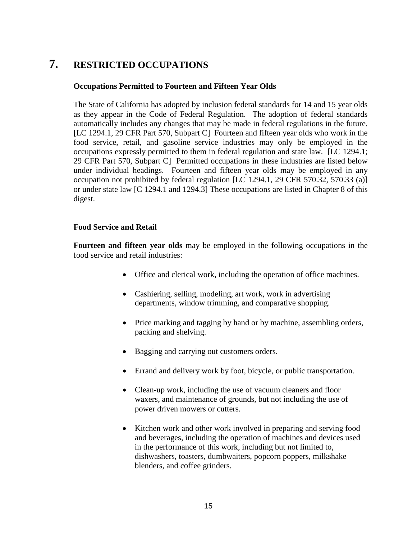## **7. RESTRICTED OCCUPATIONS**

#### **Occupations Permitted to Fourteen and Fifteen Year Olds**

The State of California has adopted by inclusion federal standards for 14 and 15 year olds as they appear in the Code of Federal Regulation. The adoption of federal standards automatically includes any changes that may be made in federal regulations in the future. [LC 1294.1, 29 CFR Part 570, Subpart C] Fourteen and fifteen year olds who work in the food service, retail, and gasoline service industries may only be employed in the occupations expressly permitted to them in federal regulation and state law. [LC 1294.1; 29 CFR Part 570, Subpart C] Permitted occupations in these industries are listed below under individual headings. Fourteen and fifteen year olds may be employed in any occupation not prohibited by federal regulation [LC 1294.1, 29 CFR 570.32, 570.33 (a)] or under state law [C 1294.1 and 1294.3] These occupations are listed in Chapter 8 of this digest.

#### **Food Service and Retail**

**Fourteen and fifteen year olds** may be employed in the following occupations in the food service and retail industries:

- Office and clerical work, including the operation of office machines.
- Cashiering, selling, modeling, art work, work in advertising departments, window trimming, and comparative shopping.
- Price marking and tagging by hand or by machine, assembling orders, packing and shelving.
- Bagging and carrying out customers orders.
- Errand and delivery work by foot, bicycle, or public transportation.
- Clean-up work, including the use of vacuum cleaners and floor waxers, and maintenance of grounds, but not including the use of power driven mowers or cutters.
- Kitchen work and other work involved in preparing and serving food and beverages, including the operation of machines and devices used in the performance of this work, including but not limited to, dishwashers, toasters, dumbwaiters, popcorn poppers, milkshake blenders, and coffee grinders.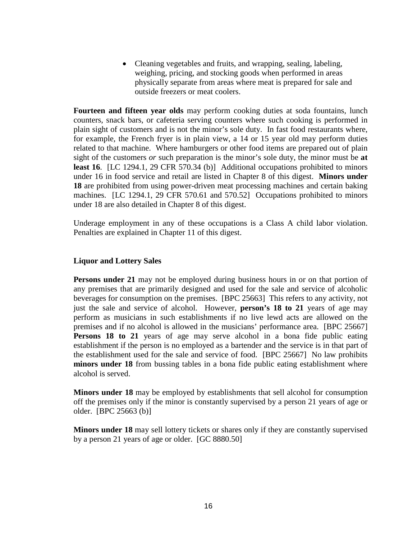• Cleaning vegetables and fruits, and wrapping, sealing, labeling, weighing, pricing, and stocking goods when performed in areas physically separate from areas where meat is prepared for sale and outside freezers or meat coolers.

**Fourteen and fifteen year olds** may perform cooking duties at soda fountains, lunch counters, snack bars, or cafeteria serving counters where such cooking is performed in plain sight of customers and is not the minor's sole duty. In fast food restaurants where, for example, the French fryer is in plain view, a 14 or 15 year old may perform duties related to that machine. Where hamburgers or other food items are prepared out of plain sight of the customers *or* such preparation is the minor's sole duty, the minor must be **at least 16**. [LC 1294.1, 29 CFR 570.34 (b)] Additional occupations prohibited to minors under 16 in food service and retail are listed in Chapter 8 of this digest. **Minors under 18** are prohibited from using power-driven meat processing machines and certain baking machines. [LC 1294.1, 29 CFR 570.61 and 570.52] Occupations prohibited to minors under 18 are also detailed in Chapter 8 of this digest.

Underage employment in any of these occupations is a Class A child labor violation. Penalties are explained in Chapter 11 of this digest.

#### **Liquor and Lottery Sales**

**Persons under 21** may not be employed during business hours in or on that portion of any premises that are primarily designed and used for the sale and service of alcoholic beverages for consumption on the premises. [BPC 25663] This refers to any activity, not just the sale and service of alcohol. However, **person's 18 to 21** years of age may perform as musicians in such establishments if no live lewd acts are allowed on the premises and if no alcohol is allowed in the musicians' performance area. [BPC 25667] **Persons 18 to 21** years of age may serve alcohol in a bona fide public eating establishment if the person is no employed as a bartender and the service is in that part of the establishment used for the sale and service of food. [BPC 25667] No law prohibits **minors under 18** from bussing tables in a bona fide public eating establishment where alcohol is served.

**Minors under 18** may be employed by establishments that sell alcohol for consumption off the premises only if the minor is constantly supervised by a person 21 years of age or older. [BPC 25663 (b)]

**Minors under 18** may sell lottery tickets or shares only if they are constantly supervised by a person 21 years of age or older. [GC 8880.50]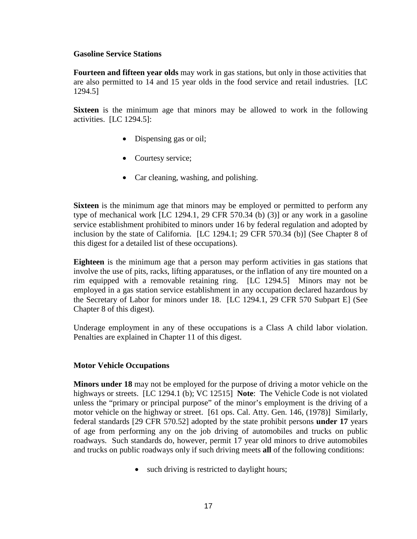#### **Gasoline Service Stations**

**Fourteen and fifteen year olds** may work in gas stations, but only in those activities that are also permitted to 14 and 15 year olds in the food service and retail industries. [LC 1294.5]

**Sixteen** is the minimum age that minors may be allowed to work in the following activities. [LC 1294.5]:

- Dispensing gas or oil;
- Courtesy service;
- Car cleaning, washing, and polishing.

**Sixteen** is the minimum age that minors may be employed or permitted to perform any type of mechanical work [LC 1294.1, 29 CFR 570.34 (b) (3)] or any work in a gasoline service establishment prohibited to minors under 16 by federal regulation and adopted by inclusion by the state of California. [LC 1294.1; 29 CFR 570.34 (b)] (See Chapter 8 of this digest for a detailed list of these occupations).

**Eighteen** is the minimum age that a person may perform activities in gas stations that involve the use of pits, racks, lifting apparatuses, or the inflation of any tire mounted on a rim equipped with a removable retaining ring. [LC 1294.5] Minors may not be employed in a gas station service establishment in any occupation declared hazardous by the Secretary of Labor for minors under 18. [LC 1294.1, 29 CFR 570 Subpart E] (See Chapter 8 of this digest).

Underage employment in any of these occupations is a Class A child labor violation. Penalties are explained in Chapter 11 of this digest.

#### **Motor Vehicle Occupations**

**Minors under 18** may not be employed for the purpose of driving a motor vehicle on the highways or streets. [LC 1294.1 (b); VC 12515] **Note**: The Vehicle Code is not violated unless the "primary or principal purpose" of the minor's employment is the driving of a motor vehicle on the highway or street. [61 ops. Cal. Atty. Gen. 146, (1978)] Similarly, federal standards [29 CFR 570.52] adopted by the state prohibit persons **under 17** years of age from performing any on the job driving of automobiles and trucks on public roadways. Such standards do, however, permit 17 year old minors to drive automobiles and trucks on public roadways only if such driving meets **all** of the following conditions:

• such driving is restricted to daylight hours;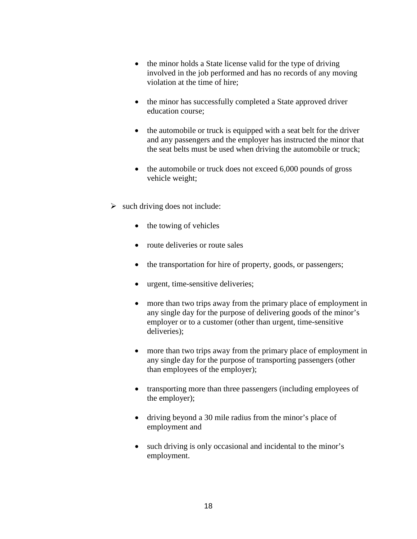- the minor holds a State license valid for the type of driving involved in the job performed and has no records of any moving violation at the time of hire;
- the minor has successfully completed a State approved driver education course;
- the automobile or truck is equipped with a seat belt for the driver and any passengers and the employer has instructed the minor that the seat belts must be used when driving the automobile or truck;
- the automobile or truck does not exceed 6,000 pounds of gross vehicle weight;
- $\triangleright$  such driving does not include:
	- the towing of vehicles
	- route deliveries or route sales
	- the transportation for hire of property, goods, or passengers;
	- urgent, time-sensitive deliveries;
	- more than two trips away from the primary place of employment in any single day for the purpose of delivering goods of the minor's employer or to a customer (other than urgent, time-sensitive deliveries);
	- more than two trips away from the primary place of employment in any single day for the purpose of transporting passengers (other than employees of the employer);
	- transporting more than three passengers (including employees of the employer);
	- driving beyond a 30 mile radius from the minor's place of employment and
	- such driving is only occasional and incidental to the minor's employment.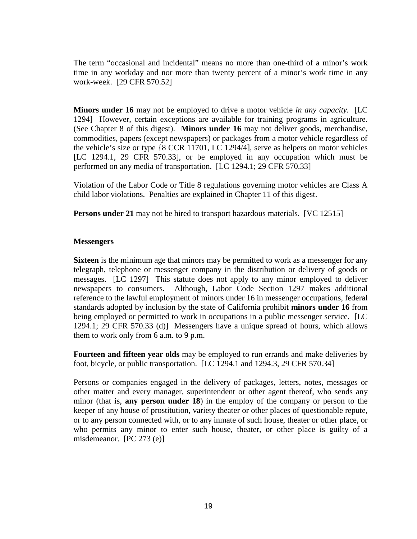The term "occasional and incidental" means no more than one-third of a minor's work time in any workday and nor more than twenty percent of a minor's work time in any work-week. [29 CFR 570.52]

**Minors under 16** may not be employed to drive a motor vehicle *in any capacity.* [LC 1294] However, certain exceptions are available for training programs in agriculture. (See Chapter 8 of this digest). **Minors under 16** may not deliver goods, merchandise, commodities, papers (except newspapers) or packages from a motor vehicle regardless of the vehicle's size or type {8 CCR 11701, LC 1294/4], serve as helpers on motor vehicles [LC 1294.1, 29 CFR 570.33], or be employed in any occupation which must be performed on any media of transportation. [LC 1294.1; 29 CFR 570.33]

Violation of the Labor Code or Title 8 regulations governing motor vehicles are Class A child labor violations. Penalties are explained in Chapter 11 of this digest.

**Persons under 21** may not be hired to transport hazardous materials. [VC 12515]

#### **Messengers**

**Sixteen** is the minimum age that minors may be permitted to work as a messenger for any telegraph, telephone or messenger company in the distribution or delivery of goods or messages. [LC 1297] This statute does not apply to any minor employed to deliver newspapers to consumers. Although, Labor Code Section 1297 makes additional reference to the lawful employment of minors under 16 in messenger occupations, federal standards adopted by inclusion by the state of California prohibit **minors under 16** from being employed or permitted to work in occupations in a public messenger service. [LC 1294.1; 29 CFR 570.33 (d)] Messengers have a unique spread of hours, which allows them to work only from 6 a.m. to 9 p.m.

**Fourteen and fifteen year olds** may be employed to run errands and make deliveries by foot, bicycle, or public transportation. [LC 1294.1 and 1294.3, 29 CFR 570.34]

Persons or companies engaged in the delivery of packages, letters, notes, messages or other matter and every manager, superintendent or other agent thereof, who sends any minor (that is, **any person under 18**) in the employ of the company or person to the keeper of any house of prostitution, variety theater or other places of questionable repute, or to any person connected with, or to any inmate of such house, theater or other place, or who permits any minor to enter such house, theater, or other place is guilty of a misdemeanor. [PC 273 (e)]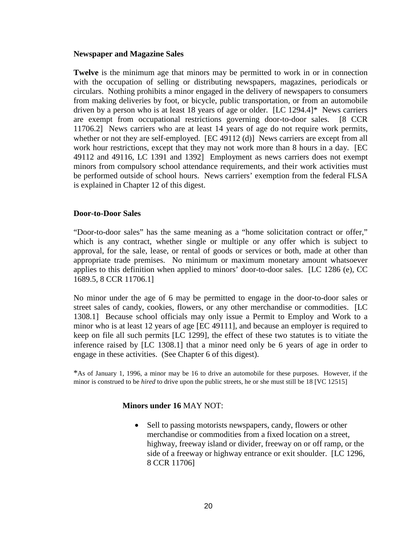#### **Newspaper and Magazine Sales**

**Twelve** is the minimum age that minors may be permitted to work in or in connection with the occupation of selling or distributing newspapers, magazines, periodicals or circulars. Nothing prohibits a minor engaged in the delivery of newspapers to consumers from making deliveries by foot, or bicycle, public transportation, or from an automobile driven by a person who is at least 18 years of age or older.  $[LC 1294.4]$ <sup>\*</sup> News carriers are exempt from occupational restrictions governing door-to-door sales. [8 CCR 11706.2] News carriers who are at least 14 years of age do not require work permits, whether or not they are self-employed. [EC 49112 (d)] News carriers are except from all work hour restrictions, except that they may not work more than 8 hours in a day. [EC 49112 and 49116, LC 1391 and 1392] Employment as news carriers does not exempt minors from compulsory school attendance requirements, and their work activities must be performed outside of school hours. News carriers' exemption from the federal FLSA is explained in Chapter 12 of this digest.

#### **Door-to-Door Sales**

"Door-to-door sales" has the same meaning as a "home solicitation contract or offer," which is any contract, whether single or multiple or any offer which is subject to approval, for the sale, lease, or rental of goods or services or both, made at other than appropriate trade premises. No minimum or maximum monetary amount whatsoever applies to this definition when applied to minors' door-to-door sales. [LC 1286 (e), CC 1689.5, 8 CCR 11706.1]

No minor under the age of 6 may be permitted to engage in the door-to-door sales or street sales of candy, cookies, flowers, or any other merchandise or commodities. [LC 1308.1] Because school officials may only issue a Permit to Employ and Work to a minor who is at least 12 years of age [EC 49111], and because an employer is required to keep on file all such permits [LC 1299], the effect of these two statutes is to vitiate the inference raised by [LC 1308.1] that a minor need only be 6 years of age in order to engage in these activities. (See Chapter 6 of this digest).

\*As of January 1, 1996, a minor may be 16 to drive an automobile for these purposes. However, if the minor is construed to be *hired* to drive upon the public streets, he or she must still be 18 [VC 12515]

#### **Minors under 16** MAY NOT:

• Sell to passing motorists newspapers, candy, flowers or other merchandise or commodities from a fixed location on a street, highway, freeway island or divider, freeway on or off ramp, or the side of a freeway or highway entrance or exit shoulder. [LC 1296, 8 CCR 11706]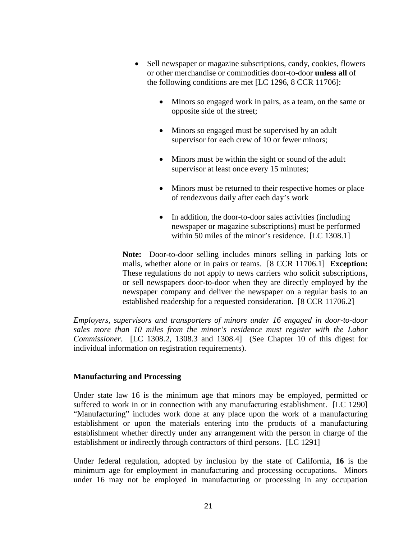- Sell newspaper or magazine subscriptions, candy, cookies, flowers or other merchandise or commodities door-to-door **unless all** of the following conditions are met [LC 1296, 8 CCR 11706]:
	- Minors so engaged work in pairs, as a team, on the same or opposite side of the street;
	- Minors so engaged must be supervised by an adult supervisor for each crew of 10 or fewer minors;
	- Minors must be within the sight or sound of the adult supervisor at least once every 15 minutes;
	- Minors must be returned to their respective homes or place of rendezvous daily after each day's work
	- In addition, the door-to-door sales activities (including newspaper or magazine subscriptions) must be performed within 50 miles of the minor's residence. [LC 1308.1]

**Note:** Door-to-door selling includes minors selling in parking lots or malls, whether alone or in pairs or teams. [8 CCR 11706.1] **Exception:** These regulations do not apply to news carriers who solicit subscriptions, or sell newspapers door-to-door when they are directly employed by the newspaper company and deliver the newspaper on a regular basis to an established readership for a requested consideration. [8 CCR 11706.2]

*Employers, supervisors and transporters of minors under 16 engaged in door-to-door sales more than 10 miles from the minor's residence must register with the Labor Commissioner.* [LC 1308.2, 1308.3 and 1308.4] (See Chapter 10 of this digest for individual information on registration requirements).

#### **Manufacturing and Processing**

Under state law 16 is the minimum age that minors may be employed, permitted or suffered to work in or in connection with any manufacturing establishment. [LC 1290] "Manufacturing" includes work done at any place upon the work of a manufacturing establishment or upon the materials entering into the products of a manufacturing establishment whether directly under any arrangement with the person in charge of the establishment or indirectly through contractors of third persons. [LC 1291]

Under federal regulation, adopted by inclusion by the state of California, **16** is the minimum age for employment in manufacturing and processing occupations. Minors under 16 may not be employed in manufacturing or processing in any occupation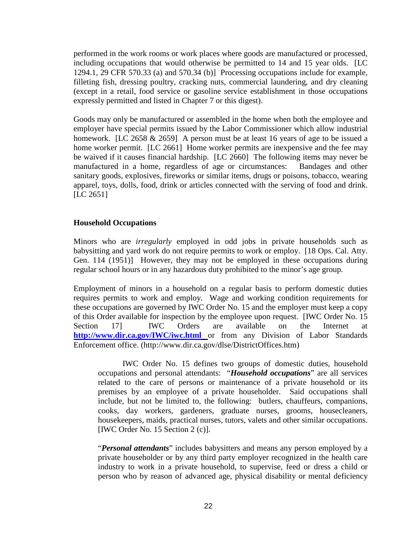performed in the work rooms or work places where goods are manufactured or processed, including occupations that would otherwise be permitted to 14 and 15 year olds. [LC 1294.1, 29 CFR 570.33 (a) and 570.34 (b)] Processing occupations include for example, filleting fish, dressing poultry, cracking nuts, commercial laundering, and dry cleaning (except in a retail, food service or gasoline service establishment in those occupations expressly permitted and listed in Chapter 7 or this digest).

Goods may only be manufactured or assembled in the home when both the employee and employer have special permits issued by the Labor Commissioner which allow industrial homework. [LC 2658 & 2659] A person must be at least 16 years of age to be issued a home worker permit. [LC 2661] Home worker permits are inexpensive and the fee may be waived if it causes financial hardship. [LC 2660] The following items may never be manufactured in a home, regardless of age or circumstances: Bandages and other sanitary goods, explosives, fireworks or similar items, drugs or poisons, tobacco, wearing apparel, toys, dolls, food, drink or articles connected with the serving of food and drink. [LC 2651]

#### **Household Occupations**

Minors who are *irregularly* employed in odd jobs in private households such as babysitting and yard work do not require permits to work or employ. [18 Ops. Cal. Atty. Gen. 114 (1951)] However, they may not be employed in these occupations during regular school hours or in any hazardous duty prohibited to the minor's age group.

Employment of minors in a household on a regular basis to perform domestic duties requires permits to work and employ. Wage and working condition requirements for these occupations are governed by IWC Order No. 15 and the employer must keep a copy of this Order available for inspection by the employee upon request. [IWC Order No. 15 Section 17] IWC Orders are available on the Internet at **<http://www.dir.ca.gov/IWC/iwc.html>** or from any Division of Labor Standards Enforcement office. (http://www.dir.ca.gov/dlse/DistrictOffices.htm)

IWC Order No. 15 defines two groups of domestic duties, household occupations and personal attendants: "*Household occupations*" are all services related to the care of persons or maintenance of a private household or its premises by an employee of a private householder. Said occupations shall include, but not be limited to, the following: butlers, chauffeurs, companions, cooks, day workers, gardeners, graduate nurses, grooms, housecleaners, housekeepers, maids, practical nurses, tutors, valets and other similar occupations. [IWC Order No. 15 Section 2 (c)].

"*Personal attendants*" includes babysitters and means any person employed by a private householder or by any third party employer recognized in the health care industry to work in a private household, to supervise, feed or dress a child or person who by reason of advanced age, physical disability or mental deficiency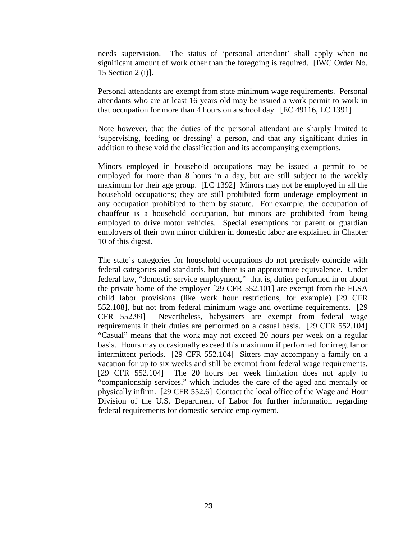needs supervision. The status of 'personal attendant' shall apply when no significant amount of work other than the foregoing is required. [IWC Order No. 15 Section 2 (i)].

Personal attendants are exempt from state minimum wage requirements. Personal attendants who are at least 16 years old may be issued a work permit to work in that occupation for more than 4 hours on a school day. [EC 49116, LC 1391]

Note however, that the duties of the personal attendant are sharply limited to 'supervising, feeding or dressing' a person, and that any significant duties in addition to these void the classification and its accompanying exemptions.

Minors employed in household occupations may be issued a permit to be employed for more than 8 hours in a day, but are still subject to the weekly maximum for their age group. [LC 1392] Minors may not be employed in all the household occupations; they are still prohibited form underage employment in any occupation prohibited to them by statute. For example, the occupation of chauffeur is a household occupation, but minors are prohibited from being employed to drive motor vehicles. Special exemptions for parent or guardian employers of their own minor children in domestic labor are explained in Chapter 10 of this digest.

The state's categories for household occupations do not precisely coincide with federal categories and standards, but there is an approximate equivalence. Under federal law, "domestic service employment," that is, duties performed in or about the private home of the employer [29 CFR 552.101] are exempt from the FLSA child labor provisions (like work hour restrictions, for example) [29 CFR 552.108], but not from federal minimum wage and overtime requirements. [29 CFR 552.99] Nevertheless, babysitters are exempt from federal wage requirements if their duties are performed on a casual basis. [29 CFR 552.104] "Casual" means that the work may not exceed 20 hours per week on a regular basis. Hours may occasionally exceed this maximum if performed for irregular or intermittent periods. [29 CFR 552.104] Sitters may accompany a family on a vacation for up to six weeks and still be exempt from federal wage requirements. [29 CFR 552.104] The 20 hours per week limitation does not apply to "companionship services," which includes the care of the aged and mentally or physically infirm. [29 CFR 552.6] Contact the local office of the Wage and Hour Division of the U.S. Department of Labor for further information regarding federal requirements for domestic service employment.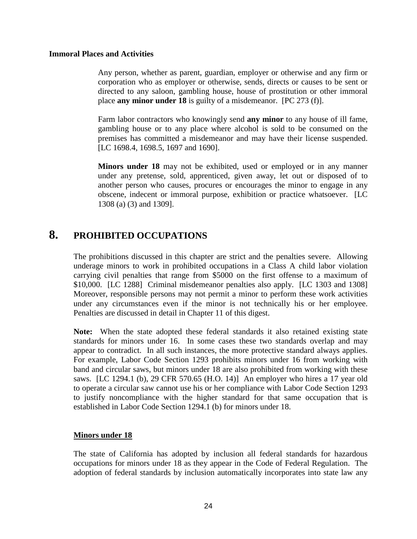#### **Immoral Places and Activities**

Any person, whether as parent, guardian, employer or otherwise and any firm or corporation who as employer or otherwise, sends, directs or causes to be sent or directed to any saloon, gambling house, house of prostitution or other immoral place **any minor under 18** is guilty of a misdemeanor. [PC 273 (f)].

Farm labor contractors who knowingly send **any minor** to any house of ill fame, gambling house or to any place where alcohol is sold to be consumed on the premises has committed a misdemeanor and may have their license suspended. [LC 1698.4, 1698.5, 1697 and 1690].

**Minors under 18** may not be exhibited, used or employed or in any manner under any pretense, sold, apprenticed, given away, let out or disposed of to another person who causes, procures or encourages the minor to engage in any obscene, indecent or immoral purpose, exhibition or practice whatsoever. [LC 1308 (a) (3) and 1309].

## **8. PROHIBITED OCCUPATIONS**

The prohibitions discussed in this chapter are strict and the penalties severe. Allowing underage minors to work in prohibited occupations in a Class A child labor violation carrying civil penalties that range from \$5000 on the first offense to a maximum of \$10,000. [LC 1288] Criminal misdemeanor penalties also apply. [LC 1303 and 1308] Moreover, responsible persons may not permit a minor to perform these work activities under any circumstances even if the minor is not technically his or her employee. Penalties are discussed in detail in Chapter 11 of this digest.

**Note:** When the state adopted these federal standards it also retained existing state standards for minors under 16. In some cases these two standards overlap and may appear to contradict. In all such instances, the more protective standard always applies. For example, Labor Code Section 1293 prohibits minors under 16 from working with band and circular saws, but minors under 18 are also prohibited from working with these saws. [LC 1294.1 (b), 29 CFR 570.65 (H.O. 14)] An employer who hires a 17 year old to operate a circular saw cannot use his or her compliance with Labor Code Section 1293 to justify noncompliance with the higher standard for that same occupation that is established in Labor Code Section 1294.1 (b) for minors under 18.

#### **Minors under 18**

The state of California has adopted by inclusion all federal standards for hazardous occupations for minors under 18 as they appear in the Code of Federal Regulation. The adoption of federal standards by inclusion automatically incorporates into state law any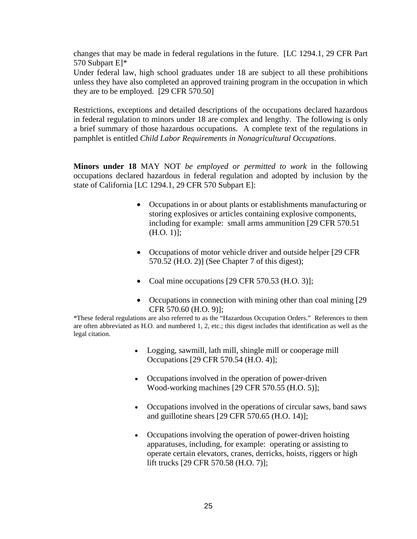changes that may be made in federal regulations in the future. [LC 1294.1, 29 CFR Part 570 Subpart E]\*

Under federal law, high school graduates under 18 are subject to all these prohibitions unless they have also completed an approved training program in the occupation in which they are to be employed. [29 CFR 570.50]

Restrictions, exceptions and detailed descriptions of the occupations declared hazardous in federal regulation to minors under 18 are complex and lengthy. The following is only a brief summary of those hazardous occupations. A complete text of the regulations in pamphlet is entitled *Child Labor Requirements in Nonagricultural Occupations*.

**Minors under 18** MAY NOT *be employed or permitted to work* in the following occupations declared hazardous in federal regulation and adopted by inclusion by the state of California [LC 1294.1, 29 CFR 570 Subpart E]:

- Occupations in or about plants or establishments manufacturing or storing explosives or articles containing explosive components, including for example: small arms ammunition [29 CFR 570.51 (H.O. 1)];
- Occupations of motor vehicle driver and outside helper [29 CFR] 570.52 (H.O. 2)] (See Chapter 7 of this digest);
- Coal mine occupations [29 CFR 570.53 (H.O. 3)];
- Occupations in connection with mining other than coal mining [29] CFR 570.60 (H.O. 9)];

\*These federal regulations are also referred to as the "Hazardous Occupation Orders." References to them are often abbreviated as H.O. and numbered 1, 2, etc.; this digest includes that identification as well as the legal citation.

- Logging, sawmill, lath mill, shingle mill or cooperage mill Occupations [29 CFR 570.54 (H.O. 4)];
- Occupations involved in the operation of power-driven Wood-working machines [29 CFR 570.55 (H.O. 5)];
- Occupations involved in the operations of circular saws, band saws and guillotine shears [29 CFR 570.65 (H.O. 14)];
- Occupations involving the operation of power-driven hoisting apparatuses, including, for example: operating or assisting to operate certain elevators, cranes, derricks, hoists, riggers or high lift trucks [29 CFR 570.58 (H.O. 7)];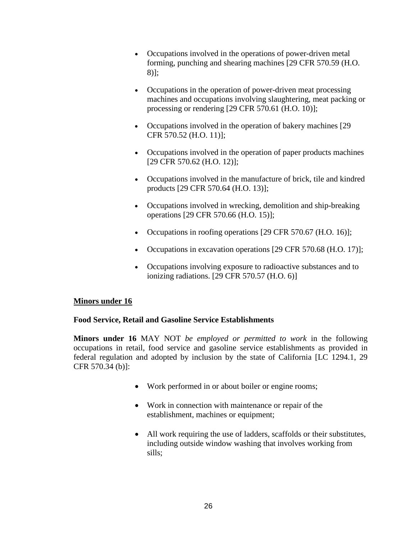- Occupations involved in the operations of power-driven metal forming, punching and shearing machines [29 CFR 570.59 (H.O. 8)];
- Occupations in the operation of power-driven meat processing machines and occupations involving slaughtering, meat packing or processing or rendering [29 CFR 570.61 (H.O. 10)];
- Occupations involved in the operation of bakery machines [29] CFR 570.52 (H.O. 11)];
- Occupations involved in the operation of paper products machines [29 CFR 570.62 (H.O. 12)];
- Occupations involved in the manufacture of brick, tile and kindred products [29 CFR 570.64 (H.O. 13)];
- Occupations involved in wrecking, demolition and ship-breaking operations [29 CFR 570.66 (H.O. 15)];
- Occupations in roofing operations [29 CFR 570.67 (H.O. 16)];
- Occupations in excavation operations [29 CFR 570.68 (H.O. 17)];
- Occupations involving exposure to radioactive substances and to ionizing radiations. [29 CFR 570.57 (H.O. 6)]

## **Minors under 16**

#### **Food Service, Retail and Gasoline Service Establishments**

**Minors under 16** MAY NOT *be employed or permitted to work* in the following occupations in retail, food service and gasoline service establishments as provided in federal regulation and adopted by inclusion by the state of California [LC 1294.1, 29 CFR 570.34 (b)]:

- Work performed in or about boiler or engine rooms;
- Work in connection with maintenance or repair of the establishment, machines or equipment;
- All work requiring the use of ladders, scaffolds or their substitutes, including outside window washing that involves working from sills;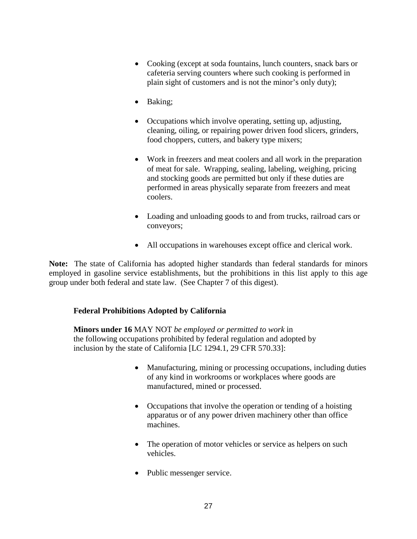- Cooking (except at soda fountains, lunch counters, snack bars or cafeteria serving counters where such cooking is performed in plain sight of customers and is not the minor's only duty);
- Baking;
- Occupations which involve operating, setting up, adjusting, cleaning, oiling, or repairing power driven food slicers, grinders, food choppers, cutters, and bakery type mixers;
- Work in freezers and meat coolers and all work in the preparation of meat for sale. Wrapping, sealing, labeling, weighing, pricing and stocking goods are permitted but only if these duties are performed in areas physically separate from freezers and meat coolers.
- Loading and unloading goods to and from trucks, railroad cars or conveyors;
- All occupations in warehouses except office and clerical work.

**Note:** The state of California has adopted higher standards than federal standards for minors employed in gasoline service establishments, but the prohibitions in this list apply to this age group under both federal and state law. (See Chapter 7 of this digest).

#### **Federal Prohibitions Adopted by California**

**Minors under 16** MAY NOT *be employed or permitted to work* in the following occupations prohibited by federal regulation and adopted by inclusion by the state of California [LC 1294.1, 29 CFR 570.33]:

- Manufacturing, mining or processing occupations, including duties of any kind in workrooms or workplaces where goods are manufactured, mined or processed.
- Occupations that involve the operation or tending of a hoisting apparatus or of any power driven machinery other than office machines.
- The operation of motor vehicles or service as helpers on such vehicles.
- Public messenger service.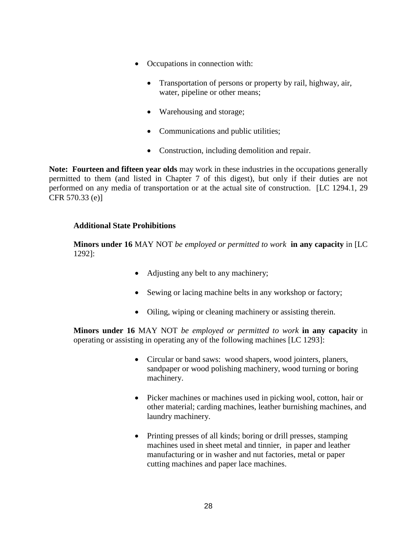- Occupations in connection with:
	- Transportation of persons or property by rail, highway, air, water, pipeline or other means;
	- Warehousing and storage;
	- Communications and public utilities;
	- Construction, including demolition and repair.

**Note: Fourteen and fifteen year olds** may work in these industries in the occupations generally permitted to them (and listed in Chapter 7 of this digest), but only if their duties are not performed on any media of transportation or at the actual site of construction. [LC 1294.1, 29 CFR 570.33 (e)]

#### **Additional State Prohibitions**

**Minors under 16** MAY NOT *be employed or permitted to work* **in any capacity** in [LC 1292]:

- Adjusting any belt to any machinery;
- Sewing or lacing machine belts in any workshop or factory;
- Oiling, wiping or cleaning machinery or assisting therein.

**Minors under 16** MAY NOT *be employed or permitted to work* **in any capacity** in operating or assisting in operating any of the following machines [LC 1293]:

- Circular or band saws: wood shapers, wood jointers, planers, sandpaper or wood polishing machinery, wood turning or boring machinery.
- Picker machines or machines used in picking wool, cotton, hair or other material; carding machines, leather burnishing machines, and laundry machinery.
- Printing presses of all kinds; boring or drill presses, stamping machines used in sheet metal and tinnier, in paper and leather manufacturing or in washer and nut factories, metal or paper cutting machines and paper lace machines.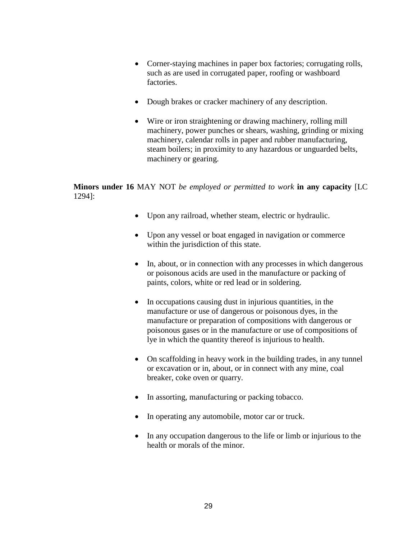- Corner-staying machines in paper box factories; corrugating rolls, such as are used in corrugated paper, roofing or washboard factories.
- Dough brakes or cracker machinery of any description.
- Wire or iron straightening or drawing machinery, rolling mill machinery, power punches or shears, washing, grinding or mixing machinery, calendar rolls in paper and rubber manufacturing, steam boilers; in proximity to any hazardous or unguarded belts, machinery or gearing.

**Minors under 16** MAY NOT *be employed or permitted to work* **in any capacity** [LC 1294]:

- Upon any railroad, whether steam, electric or hydraulic.
- Upon any vessel or boat engaged in navigation or commerce within the jurisdiction of this state.
- In, about, or in connection with any processes in which dangerous or poisonous acids are used in the manufacture or packing of paints, colors, white or red lead or in soldering.
- In occupations causing dust in injurious quantities, in the manufacture or use of dangerous or poisonous dyes, in the manufacture or preparation of compositions with dangerous or poisonous gases or in the manufacture or use of compositions of lye in which the quantity thereof is injurious to health.
- On scaffolding in heavy work in the building trades, in any tunnel or excavation or in, about, or in connect with any mine, coal breaker, coke oven or quarry.
- In assorting, manufacturing or packing tobacco.
- In operating any automobile, motor car or truck.
- In any occupation dangerous to the life or limb or injurious to the health or morals of the minor.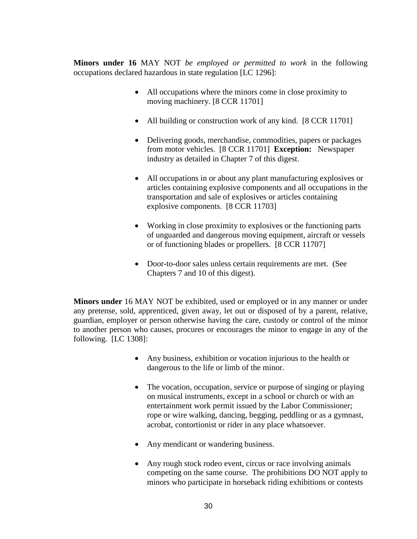**Minors under 16** MAY NOT *be employed or permitted to work* in the following occupations declared hazardous in state regulation [LC 1296]:

- All occupations where the minors come in close proximity to moving machinery. [8 CCR 11701]
- All building or construction work of any kind. [8 CCR 11701]
- Delivering goods, merchandise, commodities, papers or packages from motor vehicles. [8 CCR 11701] **Exception:** Newspaper industry as detailed in Chapter 7 of this digest.
- All occupations in or about any plant manufacturing explosives or articles containing explosive components and all occupations in the transportation and sale of explosives or articles containing explosive components. [8 CCR 11703]
- Working in close proximity to explosives or the functioning parts of unguarded and dangerous moving equipment, aircraft or vessels or of functioning blades or propellers. [8 CCR 11707]
- Door-to-door sales unless certain requirements are met. (See Chapters 7 and 10 of this digest).

**Minors under** 16 MAY NOT be exhibited, used or employed or in any manner or under any pretense, sold, apprenticed, given away, let out or disposed of by a parent, relative, guardian, employer or person otherwise having the care, custody or control of the minor to another person who causes, procures or encourages the minor to engage in any of the following. [LC 1308]:

- Any business, exhibition or vocation injurious to the health or dangerous to the life or limb of the minor.
- The vocation, occupation, service or purpose of singing or playing on musical instruments, except in a school or church or with an entertainment work permit issued by the Labor Commissioner; rope or wire walking, dancing, begging, peddling or as a gymnast, acrobat, contortionist or rider in any place whatsoever.
- Any mendicant or wandering business.
- Any rough stock rodeo event, circus or race involving animals competing on the same course. The prohibitions DO NOT apply to minors who participate in horseback riding exhibitions or contests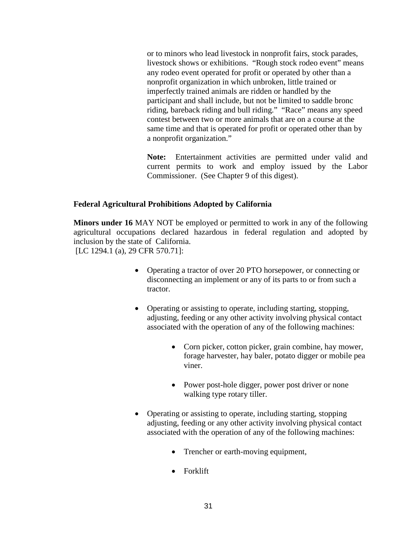or to minors who lead livestock in nonprofit fairs, stock parades, livestock shows or exhibitions. "Rough stock rodeo event" means any rodeo event operated for profit or operated by other than a nonprofit organization in which unbroken, little trained or imperfectly trained animals are ridden or handled by the participant and shall include, but not be limited to saddle bronc riding, bareback riding and bull riding." "Race" means any speed contest between two or more animals that are on a course at the same time and that is operated for profit or operated other than by a nonprofit organization."

**Note:** Entertainment activities are permitted under valid and current permits to work and employ issued by the Labor Commissioner. (See Chapter 9 of this digest).

#### **Federal Agricultural Prohibitions Adopted by California**

**Minors under 16** MAY NOT be employed or permitted to work in any of the following agricultural occupations declared hazardous in federal regulation and adopted by inclusion by the state of California. [LC 1294.1 (a), 29 CFR 570.71]:

- Operating a tractor of over 20 PTO horsepower, or connecting or disconnecting an implement or any of its parts to or from such a tractor.
- Operating or assisting to operate, including starting, stopping, adjusting, feeding or any other activity involving physical contact associated with the operation of any of the following machines:
	- Corn picker, cotton picker, grain combine, hay mower, forage harvester, hay baler, potato digger or mobile pea viner.
	- Power post-hole digger, power post driver or none walking type rotary tiller.
- Operating or assisting to operate, including starting, stopping adjusting, feeding or any other activity involving physical contact associated with the operation of any of the following machines:
	- Trencher or earth-moving equipment,
	- Forklift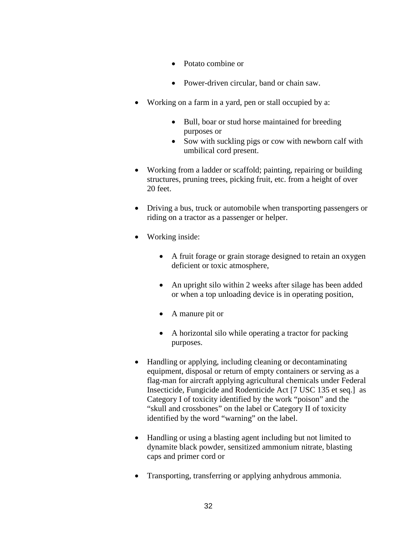- Potato combine or
- Power-driven circular, band or chain saw.
- Working on a farm in a yard, pen or stall occupied by a:
	- Bull, boar or stud horse maintained for breeding purposes or
	- Sow with suckling pigs or cow with newborn calf with umbilical cord present.
- Working from a ladder or scaffold; painting, repairing or building structures, pruning trees, picking fruit, etc. from a height of over 20 feet.
- Driving a bus, truck or automobile when transporting passengers or riding on a tractor as a passenger or helper.
- Working inside:
	- A fruit forage or grain storage designed to retain an oxygen deficient or toxic atmosphere,
	- An upright silo within 2 weeks after silage has been added or when a top unloading device is in operating position,
	- A manure pit or
	- A horizontal silo while operating a tractor for packing purposes.
- Handling or applying, including cleaning or decontaminating equipment, disposal or return of empty containers or serving as a flag-man for aircraft applying agricultural chemicals under Federal Insecticide, Fungicide and Rodenticide Act [7 USC 135 et seq.] as Category I of toxicity identified by the work "poison" and the "skull and crossbones" on the label or Category II of toxicity identified by the word "warning" on the label.
- Handling or using a blasting agent including but not limited to dynamite black powder, sensitized ammonium nitrate, blasting caps and primer cord or
- Transporting, transferring or applying anhydrous ammonia.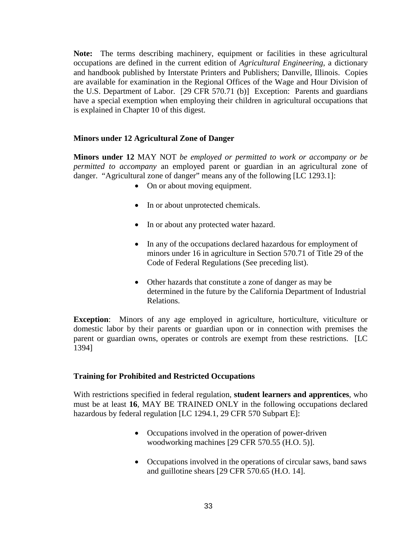**Note:** The terms describing machinery, equipment or facilities in these agricultural occupations are defined in the current edition of *Agricultural Engineering*, a dictionary and handbook published by Interstate Printers and Publishers; Danville, Illinois. Copies are available for examination in the Regional Offices of the Wage and Hour Division of the U.S. Department of Labor. [29 CFR 570.71 (b)] Exception: Parents and guardians have a special exemption when employing their children in agricultural occupations that is explained in Chapter 10 of this digest.

#### **Minors under 12 Agricultural Zone of Danger**

**Minors under 12** MAY NOT *be employed or permitted to work or accompany or be permitted to accompany* an employed parent or guardian in an agricultural zone of danger. "Agricultural zone of danger" means any of the following [LC 1293.1]:

- On or about moving equipment.
- In or about unprotected chemicals.
- In or about any protected water hazard.
- In any of the occupations declared hazardous for employment of minors under 16 in agriculture in Section 570.71 of Title 29 of the Code of Federal Regulations (See preceding list).
- Other hazards that constitute a zone of danger as may be determined in the future by the California Department of Industrial Relations.

**Exception**: Minors of any age employed in agriculture, horticulture, viticulture or domestic labor by their parents or guardian upon or in connection with premises the parent or guardian owns, operates or controls are exempt from these restrictions. [LC 1394]

#### **Training for Prohibited and Restricted Occupations**

With restrictions specified in federal regulation, **student learners and apprentices**, who must be at least **16**, MAY BE TRAINED ONLY in the following occupations declared hazardous by federal regulation [LC 1294.1, 29 CFR 570 Subpart E]:

- Occupations involved in the operation of power-driven woodworking machines [29 CFR 570.55 (H.O. 5)].
- Occupations involved in the operations of circular saws, band saws and guillotine shears [29 CFR 570.65 (H.O. 14].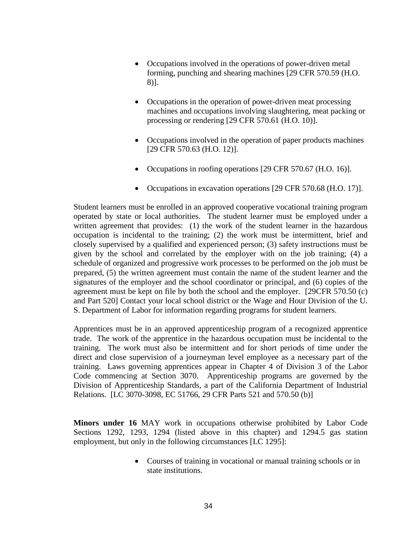- Occupations involved in the operations of power-driven metal forming, punching and shearing machines [29 CFR 570.59 (H.O. 8)].
- Occupations in the operation of power-driven meat processing machines and occupations involving slaughtering, meat packing or processing or rendering [29 CFR 570.61 (H.O. 10)].
- Occupations involved in the operation of paper products machines [29 CFR 570.63 (H.O. 12)].
- Occupations in roofing operations [29 CFR 570.67 (H.O. 16)].
- Occupations in excavation operations [29 CFR 570.68 (H.O. 17)].

Student learners must be enrolled in an approved cooperative vocational training program operated by state or local authorities. The student learner must be employed under a written agreement that provides: (1) the work of the student learner in the hazardous occupation is incidental to the training; (2) the work must be intermittent, brief and closely supervised by a qualified and experienced person; (3) safety instructions must be given by the school and correlated by the employer with on the job training; (4) a schedule of organized and progressive work processes to be performed on the job must be prepared, (5) the written agreement must contain the name of the student learner and the signatures of the employer and the school coordinator or principal, and (6) copies of the agreement must be kept on file by both the school and the employer. [29CFR 570.50 (c) and Part 520] Contact your local school district or the Wage and Hour Division of the U. S. Department of Labor for information regarding programs for student learners.

Apprentices must be in an approved apprenticeship program of a recognized apprentice trade. The work of the apprentice in the hazardous occupation must be incidental to the training. The work must also be intermittent and for short periods of time under the direct and close supervision of a journeyman level employee as a necessary part of the training. Laws governing apprentices appear in Chapter 4 of Division 3 of the Labor Code commencing at Section 3070. Apprenticeship programs are governed by the Division of Apprenticeship Standards, a part of the California Department of Industrial Relations. [LC 3070-3098, EC 51766, 29 CFR Parts 521 and 570.50 (b)]

**Minors under 16** MAY work in occupations otherwise prohibited by Labor Code Sections 1292, 1293, 1294 (listed above in this chapter) and 1294.5 gas station employment, but only in the following circumstances [LC 1295]:

> • Courses of training in vocational or manual training schools or in state institutions.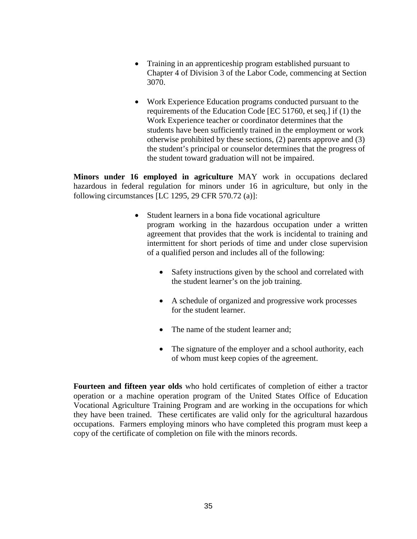- Training in an apprenticeship program established pursuant to Chapter 4 of Division 3 of the Labor Code, commencing at Section 3070.
- Work Experience Education programs conducted pursuant to the requirements of the Education Code [EC 51760, et seq.] if (1) the Work Experience teacher or coordinator determines that the students have been sufficiently trained in the employment or work otherwise prohibited by these sections, (2) parents approve and (3) the student's principal or counselor determines that the progress of the student toward graduation will not be impaired.

**Minors under 16 employed in agriculture** MAY work in occupations declared hazardous in federal regulation for minors under 16 in agriculture, but only in the following circumstances [LC 1295, 29 CFR 570.72 (a)]:

- Student learners in a bona fide vocational agriculture program working in the hazardous occupation under a written agreement that provides that the work is incidental to training and intermittent for short periods of time and under close supervision of a qualified person and includes all of the following:
	- Safety instructions given by the school and correlated with the student learner's on the job training.
	- A schedule of organized and progressive work processes for the student learner.
	- The name of the student learner and;
	- The signature of the employer and a school authority, each of whom must keep copies of the agreement.

**Fourteen and fifteen year olds** who hold certificates of completion of either a tractor operation or a machine operation program of the United States Office of Education Vocational Agriculture Training Program and are working in the occupations for which they have been trained. These certificates are valid only for the agricultural hazardous occupations. Farmers employing minors who have completed this program must keep a copy of the certificate of completion on file with the minors records.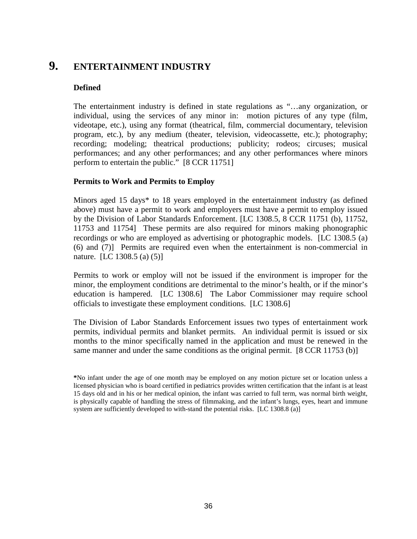## **9. ENTERTAINMENT INDUSTRY**

#### **Defined**

The entertainment industry is defined in state regulations as "…any organization, or individual, using the services of any minor in: motion pictures of any type (film, videotape, etc.), using any format (theatrical, film, commercial documentary, television program, etc.), by any medium (theater, television, videocassette, etc.); photography; recording; modeling; theatrical productions; publicity; rodeos; circuses; musical performances; and any other performances; and any other performances where minors perform to entertain the public." [8 CCR 11751]

#### **Permits to Work and Permits to Employ**

Minors aged 15 days\* to 18 years employed in the entertainment industry (as defined above) must have a permit to work and employers must have a permit to employ issued by the Division of Labor Standards Enforcement. [LC 1308.5, 8 CCR 11751 (b), 11752, 11753 and 11754] These permits are also required for minors making phonographic recordings or who are employed as advertising or photographic models. [LC 1308.5 (a) (6) and (7)] Permits are required even when the entertainment is non-commercial in nature. [LC 1308.5 (a) (5)]

Permits to work or employ will not be issued if the environment is improper for the minor, the employment conditions are detrimental to the minor's health, or if the minor's education is hampered. [LC 1308.6] The Labor Commissioner may require school officials to investigate these employment conditions. [LC 1308.6]

The Division of Labor Standards Enforcement issues two types of entertainment work permits, individual permits and blanket permits. An individual permit is issued or six months to the minor specifically named in the application and must be renewed in the same manner and under the same conditions as the original permit. [8 CCR 11753 (b)]

**<sup>\*</sup>**No infant under the age of one month may be employed on any motion picture set or location unless a licensed physician who is board certified in pediatrics provides written certification that the infant is at least 15 days old and in his or her medical opinion, the infant was carried to full term, was normal birth weight, is physically capable of handling the stress of filmmaking, and the infant's lungs, eyes, heart and immune system are sufficiently developed to with-stand the potential risks. [LC 1308.8 (a)]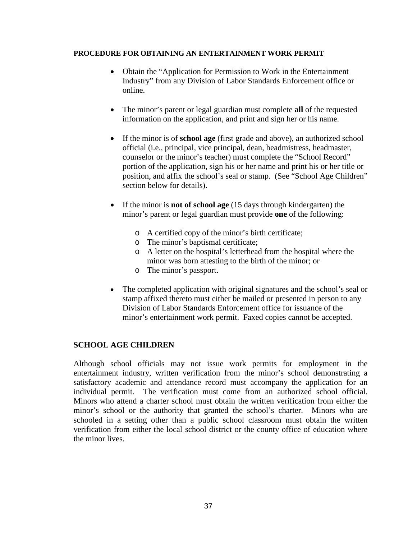#### **PROCEDURE FOR OBTAINING AN ENTERTAINMENT WORK PERMIT**

- Obtain the "Application for Permission to Work in the Entertainment Industry" from any Division of Labor Standards Enforcement office or online.
- The minor's parent or legal guardian must complete **all** of the requested information on the application, and print and sign her or his name.
- If the minor is of **school age** (first grade and above), an authorized school official (i.e., principal, vice principal, dean, headmistress, headmaster, counselor or the minor's teacher) must complete the "School Record" portion of the application, sign his or her name and print his or her title or position, and affix the school's seal or stamp. (See "School Age Children" section below for details).
- If the minor is **not of school age** (15 days through kindergarten) the minor's parent or legal guardian must provide **one** of the following:
	- o A certified copy of the minor's birth certificate;
	- o The minor's baptismal certificate;
	- o A letter on the hospital's letterhead from the hospital where the minor was born attesting to the birth of the minor; or
	- o The minor's passport.
- The completed application with original signatures and the school's seal or stamp affixed thereto must either be mailed or presented in person to any Division of Labor Standards Enforcement office for issuance of the minor's entertainment work permit. Faxed copies cannot be accepted.

#### **SCHOOL AGE CHILDREN**

Although school officials may not issue work permits for employment in the entertainment industry, written verification from the minor's school demonstrating a satisfactory academic and attendance record must accompany the application for an individual permit. The verification must come from an authorized school official. Minors who attend a charter school must obtain the written verification from either the minor's school or the authority that granted the school's charter. Minors who are schooled in a setting other than a public school classroom must obtain the written verification from either the local school district or the county office of education where the minor lives.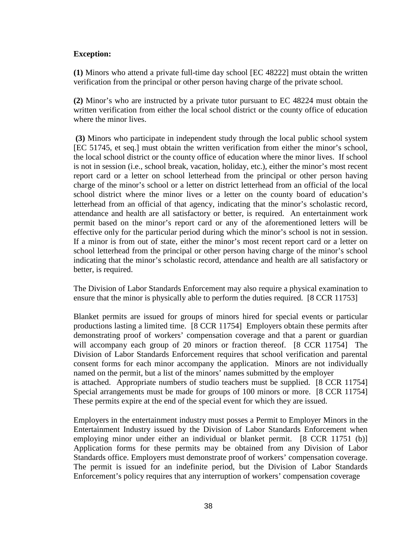#### **Exception:**

**(1)** Minors who attend a private full-time day school [EC 48222] must obtain the written verification from the principal or other person having charge of the private school.

**(2)** Minor's who are instructed by a private tutor pursuant to EC 48224 must obtain the written verification from either the local school district or the county office of education where the minor lives.

**(3)** Minors who participate in independent study through the local public school system [EC 51745, et seq.] must obtain the written verification from either the minor's school, the local school district or the county office of education where the minor lives. If school is not in session (i.e., school break, vacation, holiday, etc.), either the minor's most recent report card or a letter on school letterhead from the principal or other person having charge of the minor's school or a letter on district letterhead from an official of the local school district where the minor lives or a letter on the county board of education's letterhead from an official of that agency, indicating that the minor's scholastic record, attendance and health are all satisfactory or better, is required. An entertainment work permit based on the minor's report card or any of the aforementioned letters will be effective only for the particular period during which the minor's school is not in session. If a minor is from out of state, either the minor's most recent report card or a letter on school letterhead from the principal or other person having charge of the minor's school indicating that the minor's scholastic record, attendance and health are all satisfactory or better, is required.

The Division of Labor Standards Enforcement may also require a physical examination to ensure that the minor is physically able to perform the duties required. [8 CCR 11753]

Blanket permits are issued for groups of minors hired for special events or particular productions lasting a limited time. [8 CCR 11754] Employers obtain these permits after demonstrating proof of workers' compensation coverage and that a parent or guardian will accompany each group of 20 minors or fraction thereof. [8 CCR 11754] The Division of Labor Standards Enforcement requires that school verification and parental consent forms for each minor accompany the application. Minors are not individually named on the permit, but a list of the minors' names submitted by the employer is attached. Appropriate numbers of studio teachers must be supplied. [8 CCR 11754] Special arrangements must be made for groups of 100 minors or more. [8 CCR 11754] These permits expire at the end of the special event for which they are issued.

Employers in the entertainment industry must posses a Permit to Employer Minors in the Entertainment Industry issued by the Division of Labor Standards Enforcement when employing minor under either an individual or blanket permit. [8 CCR 11751 (b)] Application forms for these permits may be obtained from any Division of Labor Standards office. Employers must demonstrate proof of workers' compensation coverage. The permit is issued for an indefinite period, but the Division of Labor Standards Enforcement's policy requires that any interruption of workers' compensation coverage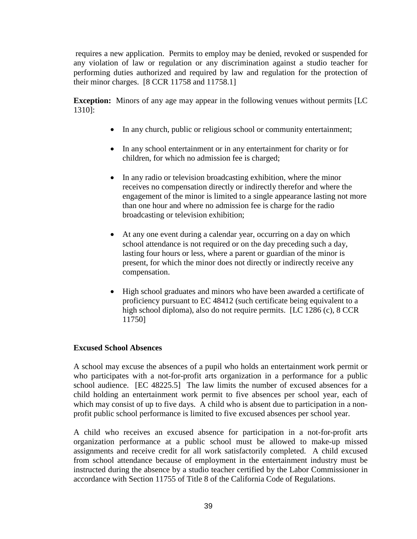requires a new application. Permits to employ may be denied, revoked or suspended for any violation of law or regulation or any discrimination against a studio teacher for performing duties authorized and required by law and regulation for the protection of their minor charges. [8 CCR 11758 and 11758.1]

**Exception:** Minors of any age may appear in the following venues without permits [LC 1310]:

- In any church, public or religious school or community entertainment;
- In any school entertainment or in any entertainment for charity or for children, for which no admission fee is charged;
- In any radio or television broadcasting exhibition, where the minor receives no compensation directly or indirectly therefor and where the engagement of the minor is limited to a single appearance lasting not more than one hour and where no admission fee is charge for the radio broadcasting or television exhibition;
- At any one event during a calendar year, occurring on a day on which school attendance is not required or on the day preceding such a day, lasting four hours or less, where a parent or guardian of the minor is present, for which the minor does not directly or indirectly receive any compensation.
- High school graduates and minors who have been awarded a certificate of proficiency pursuant to EC 48412 (such certificate being equivalent to a high school diploma), also do not require permits. [LC 1286 (c), 8 CCR 11750]

#### **Excused School Absences**

A school may excuse the absences of a pupil who holds an entertainment work permit or who participates with a not-for-profit arts organization in a performance for a public school audience. [EC 48225.5] The law limits the number of excused absences for a child holding an entertainment work permit to five absences per school year, each of which may consist of up to five days. A child who is absent due to participation in a nonprofit public school performance is limited to five excused absences per school year.

A child who receives an excused absence for participation in a not-for-profit arts organization performance at a public school must be allowed to make-up missed assignments and receive credit for all work satisfactorily completed. A child excused from school attendance because of employment in the entertainment industry must be instructed during the absence by a studio teacher certified by the Labor Commissioner in accordance with Section 11755 of Title 8 of the California Code of Regulations.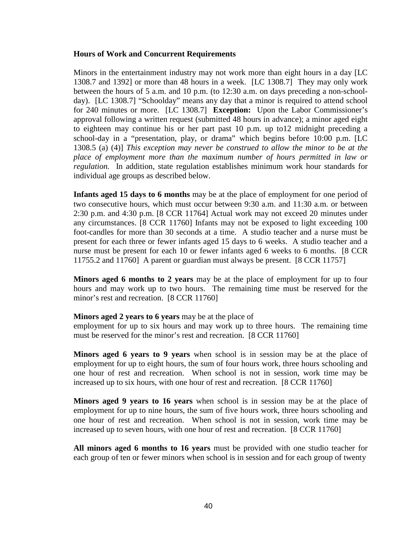#### **Hours of Work and Concurrent Requirements**

Minors in the entertainment industry may not work more than eight hours in a day [LC 1308.7 and 1392] or more than 48 hours in a week. [LC 1308.7] They may only work between the hours of 5 a.m. and 10 p.m. (to 12:30 a.m. on days preceding a non-schoolday). [LC 1308.7] "Schoolday" means any day that a minor is required to attend school for 240 minutes or more. [LC 1308.7] **Exception:** Upon the Labor Commissioner's approval following a written request (submitted 48 hours in advance); a minor aged eight to eighteen may continue his or her part past 10 p.m. up to12 midnight preceding a school-day in a "presentation, play, or drama" which begins before 10:00 p.m. [LC 1308.5 (a) (4)] *This exception may never be construed to allow the minor to be at the place of employment more than the maximum number of hours permitted in law or regulation.* In addition, state regulation establishes minimum work hour standards for individual age groups as described below.

**Infants aged 15 days to 6 months** may be at the place of employment for one period of two consecutive hours, which must occur between 9:30 a.m. and 11:30 a.m. or between 2:30 p.m. and 4:30 p.m. [8 CCR 11764] Actual work may not exceed 20 minutes under any circumstances. [8 CCR 11760] Infants may not be exposed to light exceeding 100 foot-candles for more than 30 seconds at a time. A studio teacher and a nurse must be present for each three or fewer infants aged 15 days to 6 weeks. A studio teacher and a nurse must be present for each 10 or fewer infants aged 6 weeks to 6 months. [8 CCR 11755.2 and 11760] A parent or guardian must always be present. [8 CCR 11757]

**Minors aged 6 months to 2 years** may be at the place of employment for up to four hours and may work up to two hours. The remaining time must be reserved for the minor's rest and recreation. [8 CCR 11760]

#### **Minors aged 2 years to 6 years** may be at the place of

employment for up to six hours and may work up to three hours. The remaining time must be reserved for the minor's rest and recreation. [8 CCR 11760]

**Minors aged 6 years to 9 years** when school is in session may be at the place of employment for up to eight hours, the sum of four hours work, three hours schooling and one hour of rest and recreation. When school is not in session, work time may be increased up to six hours, with one hour of rest and recreation. [8 CCR 11760]

**Minors aged 9 years to 16 years** when school is in session may be at the place of employment for up to nine hours, the sum of five hours work, three hours schooling and one hour of rest and recreation. When school is not in session, work time may be increased up to seven hours, with one hour of rest and recreation. [8 CCR 11760]

**All minors aged 6 months to 16 years** must be provided with one studio teacher for each group of ten or fewer minors when school is in session and for each group of twenty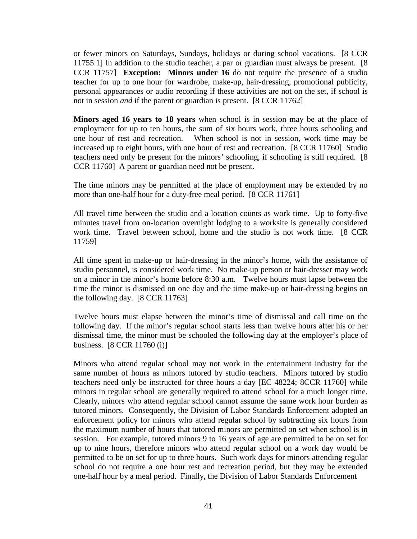or fewer minors on Saturdays, Sundays, holidays or during school vacations. [8 CCR 11755.1] In addition to the studio teacher, a par or guardian must always be present. [8 CCR 11757] **Exception: Minors under 16** do not require the presence of a studio teacher for up to one hour for wardrobe, make-up, hair-dressing, promotional publicity, personal appearances or audio recording if these activities are not on the set, if school is not in session *and* if the parent or guardian is present. [8 CCR 11762]

**Minors aged 16 years to 18 years** when school is in session may be at the place of employment for up to ten hours, the sum of six hours work, three hours schooling and one hour of rest and recreation. When school is not in session, work time may be increased up to eight hours, with one hour of rest and recreation. [8 CCR 11760] Studio teachers need only be present for the minors' schooling, if schooling is still required. [8 CCR 11760] A parent or guardian need not be present.

The time minors may be permitted at the place of employment may be extended by no more than one-half hour for a duty-free meal period. [8 CCR 11761]

All travel time between the studio and a location counts as work time. Up to forty-five minutes travel from on-location overnight lodging to a worksite is generally considered work time. Travel between school, home and the studio is not work time. [8 CCR 11759]

All time spent in make-up or hair-dressing in the minor's home, with the assistance of studio personnel, is considered work time. No make-up person or hair-dresser may work on a minor in the minor's home before 8:30 a.m. Twelve hours must lapse between the time the minor is dismissed on one day and the time make-up or hair-dressing begins on the following day. [8 CCR 11763]

Twelve hours must elapse between the minor's time of dismissal and call time on the following day. If the minor's regular school starts less than twelve hours after his or her dismissal time, the minor must be schooled the following day at the employer's place of business. [8 CCR 11760 (i)]

Minors who attend regular school may not work in the entertainment industry for the same number of hours as minors tutored by studio teachers. Minors tutored by studio teachers need only be instructed for three hours a day [EC 48224; 8CCR 11760] while minors in regular school are generally required to attend school for a much longer time. Clearly, minors who attend regular school cannot assume the same work hour burden as tutored minors. Consequently, the Division of Labor Standards Enforcement adopted an enforcement policy for minors who attend regular school by subtracting six hours from the maximum number of hours that tutored minors are permitted on set when school is in session. For example, tutored minors 9 to 16 years of age are permitted to be on set for up to nine hours, therefore minors who attend regular school on a work day would be permitted to be on set for up to three hours. Such work days for minors attending regular school do not require a one hour rest and recreation period, but they may be extended one-half hour by a meal period. Finally, the Division of Labor Standards Enforcement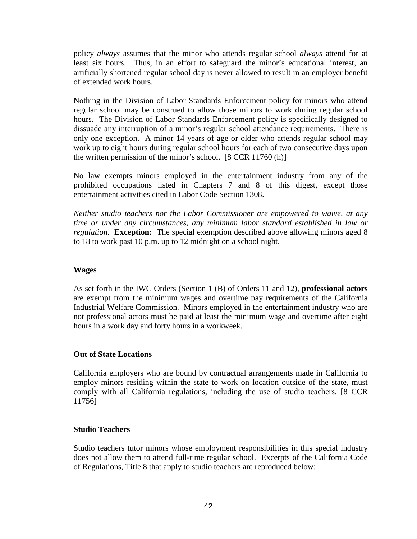policy *always* assumes that the minor who attends regular school *always* attend for at least six hours. Thus, in an effort to safeguard the minor's educational interest, an artificially shortened regular school day is never allowed to result in an employer benefit of extended work hours.

Nothing in the Division of Labor Standards Enforcement policy for minors who attend regular school may be construed to allow those minors to work during regular school hours. The Division of Labor Standards Enforcement policy is specifically designed to dissuade any interruption of a minor's regular school attendance requirements. There is only one exception. A minor 14 years of age or older who attends regular school may work up to eight hours during regular school hours for each of two consecutive days upon the written permission of the minor's school. [8 CCR 11760 (h)]

No law exempts minors employed in the entertainment industry from any of the prohibited occupations listed in Chapters 7 and 8 of this digest, except those entertainment activities cited in Labor Code Section 1308.

*Neither studio teachers nor the Labor Commissioner are empowered to waive, at any time or under any circumstances, any minimum labor standard established in law or regulation.* **Exception:** The special exemption described above allowing minors aged 8 to 18 to work past 10 p.m. up to 12 midnight on a school night.

#### **Wages**

As set forth in the IWC Orders (Section 1 (B) of Orders 11 and 12), **professional actors** are exempt from the minimum wages and overtime pay requirements of the California Industrial Welfare Commission. Minors employed in the entertainment industry who are not professional actors must be paid at least the minimum wage and overtime after eight hours in a work day and forty hours in a workweek.

#### **Out of State Locations**

California employers who are bound by contractual arrangements made in California to employ minors residing within the state to work on location outside of the state, must comply with all California regulations, including the use of studio teachers. [8 CCR 11756]

#### **Studio Teachers**

Studio teachers tutor minors whose employment responsibilities in this special industry does not allow them to attend full-time regular school. Excerpts of the California Code of Regulations, Title 8 that apply to studio teachers are reproduced below: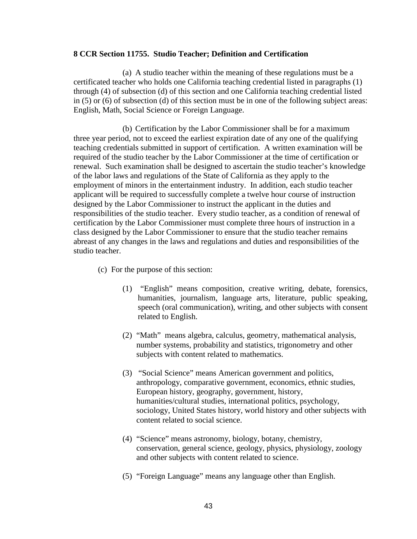#### **8 CCR Section 11755. Studio Teacher; Definition and Certification**

(a) A studio teacher within the meaning of these regulations must be a certificated teacher who holds one California teaching credential listed in paragraphs (1) through (4) of subsection (d) of this section and one California teaching credential listed in (5) or (6) of subsection (d) of this section must be in one of the following subject areas: English, Math, Social Science or Foreign Language.

(b) Certification by the Labor Commissioner shall be for a maximum three year period, not to exceed the earliest expiration date of any one of the qualifying teaching credentials submitted in support of certification. A written examination will be required of the studio teacher by the Labor Commissioner at the time of certification or renewal. Such examination shall be designed to ascertain the studio teacher's knowledge of the labor laws and regulations of the State of California as they apply to the employment of minors in the entertainment industry. In addition, each studio teacher applicant will be required to successfully complete a twelve hour course of instruction designed by the Labor Commissioner to instruct the applicant in the duties and responsibilities of the studio teacher. Every studio teacher, as a condition of renewal of certification by the Labor Commissioner must complete three hours of instruction in a class designed by the Labor Commissioner to ensure that the studio teacher remains abreast of any changes in the laws and regulations and duties and responsibilities of the studio teacher.

- (c) For the purpose of this section:
	- (1) "English" means composition, creative writing, debate, forensics, humanities, journalism, language arts, literature, public speaking, speech (oral communication), writing, and other subjects with consent related to English.
	- (2) "Math" means algebra, calculus, geometry, mathematical analysis, number systems, probability and statistics, trigonometry and other subjects with content related to mathematics.
	- (3) "Social Science" means American government and politics, anthropology, comparative government, economics, ethnic studies, European history, geography, government, history, humanities/cultural studies, international politics, psychology, sociology, United States history, world history and other subjects with content related to social science.
	- (4) "Science" means astronomy, biology, botany, chemistry, conservation, general science, geology, physics, physiology, zoology and other subjects with content related to science.
	- (5) "Foreign Language" means any language other than English.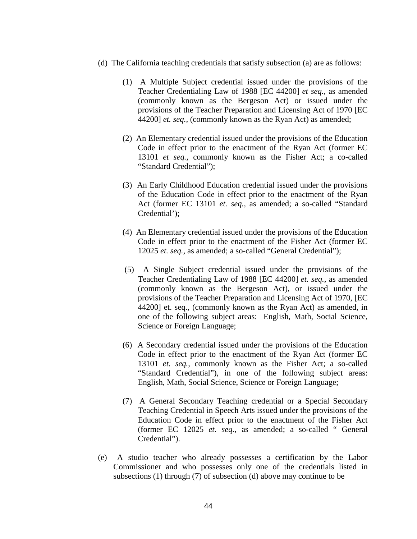- (d) The California teaching credentials that satisfy subsection (a) are as follows:
	- (1) A Multiple Subject credential issued under the provisions of the Teacher Credentialing Law of 1988 [EC 44200] *et seq.,* as amended (commonly known as the Bergeson Act) or issued under the provisions of the Teacher Preparation and Licensing Act of 1970 [EC 44200] *et. seq.,* (commonly known as the Ryan Act) as amended;
	- (2) An Elementary credential issued under the provisions of the Education Code in effect prior to the enactment of the Ryan Act (former EC 13101 *et seq.,* commonly known as the Fisher Act; a co-called "Standard Credential");
	- (3) An Early Childhood Education credential issued under the provisions of the Education Code in effect prior to the enactment of the Ryan Act (former EC 13101 *et. seq.,* as amended; a so-called "Standard Credential');
	- (4) An Elementary credential issued under the provisions of the Education Code in effect prior to the enactment of the Fisher Act (former EC 12025 *et. seq.,* as amended; a so-called "General Credential");
	- (5) A Single Subject credential issued under the provisions of the Teacher Credentialing Law of 1988 [EC 44200] *et. seq.,* as amended (commonly known as the Bergeson Act), or issued under the provisions of the Teacher Preparation and Licensing Act of 1970, [EC 44200] et. seq., (commonly known as the Ryan Act) as amended, in one of the following subject areas: English, Math, Social Science, Science or Foreign Language;
	- (6) A Secondary credential issued under the provisions of the Education Code in effect prior to the enactment of the Ryan Act (former EC 13101 *et. seq.,* commonly known as the Fisher Act; a so-called "Standard Credential"), in one of the following subject areas: English, Math, Social Science, Science or Foreign Language;
	- (7) A General Secondary Teaching credential or a Special Secondary Teaching Credential in Speech Arts issued under the provisions of the Education Code in effect prior to the enactment of the Fisher Act (former EC 12025 *et. seq.,* as amended; a so-called " General Credential").
- (e) A studio teacher who already possesses a certification by the Labor Commissioner and who possesses only one of the credentials listed in subsections (1) through (7) of subsection (d) above may continue to be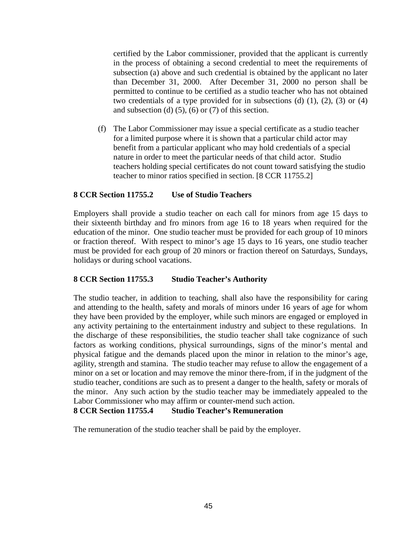certified by the Labor commissioner, provided that the applicant is currently in the process of obtaining a second credential to meet the requirements of subsection (a) above and such credential is obtained by the applicant no later than December 31, 2000. After December 31, 2000 no person shall be permitted to continue to be certified as a studio teacher who has not obtained two credentials of a type provided for in subsections (d)  $(1)$ ,  $(2)$ ,  $(3)$  or  $(4)$ and subsection (d)  $(5)$ ,  $(6)$  or  $(7)$  of this section.

(f) The Labor Commissioner may issue a special certificate as a studio teacher for a limited purpose where it is shown that a particular child actor may benefit from a particular applicant who may hold credentials of a special nature in order to meet the particular needs of that child actor. Studio teachers holding special certificates do not count toward satisfying the studio teacher to minor ratios specified in section. [8 CCR 11755.2]

#### **8 CCR Section 11755.2 Use of Studio Teachers**

Employers shall provide a studio teacher on each call for minors from age 15 days to their sixteenth birthday and fro minors from age 16 to 18 years when required for the education of the minor. One studio teacher must be provided for each group of 10 minors or fraction thereof. With respect to minor's age 15 days to 16 years, one studio teacher must be provided for each group of 20 minors or fraction thereof on Saturdays, Sundays, holidays or during school vacations.

#### **8 CCR Section 11755.3 Studio Teacher's Authority**

The studio teacher, in addition to teaching, shall also have the responsibility for caring and attending to the health, safety and morals of minors under 16 years of age for whom they have been provided by the employer, while such minors are engaged or employed in any activity pertaining to the entertainment industry and subject to these regulations. In the discharge of these responsibilities, the studio teacher shall take cognizance of such factors as working conditions, physical surroundings, signs of the minor's mental and physical fatigue and the demands placed upon the minor in relation to the minor's age, agility, strength and stamina. The studio teacher may refuse to allow the engagement of a minor on a set or location and may remove the minor there-from, if in the judgment of the studio teacher, conditions are such as to present a danger to the health, safety or morals of the minor. Any such action by the studio teacher may be immediately appealed to the Labor Commissioner who may affirm or counter-mend such action.

#### **8 CCR Section 11755.4 Studio Teacher's Remuneration**

The remuneration of the studio teacher shall be paid by the employer.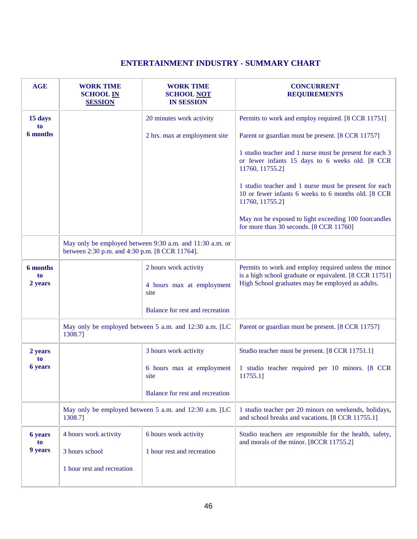## **ENTERTAINMENT INDUSTRY - SUMMARY CHART**

| <b>AGE</b>                       | <b>WORK TIME</b><br><b>SCHOOL IN</b><br><b>SESSION</b>            | <b>WORK TIME</b><br><b>SCHOOL NOT</b><br><b>IN SESSION</b> | <b>CONCURRENT</b><br><b>REQUIREMENTS</b>                                                                                                                           |
|----------------------------------|-------------------------------------------------------------------|------------------------------------------------------------|--------------------------------------------------------------------------------------------------------------------------------------------------------------------|
| 15 days<br>to                    |                                                                   | 20 minutes work activity                                   | Permits to work and employ required. [8 CCR 11751]                                                                                                                 |
| <b>6</b> months                  |                                                                   | 2 hrs. max at employment site                              | Parent or guardian must be present. [8 CCR 11757]                                                                                                                  |
|                                  |                                                                   |                                                            | 1 studio teacher and 1 nurse must be present for each 3<br>or fewer infants 15 days to 6 weeks old. [8 CCR<br>11760, 11755.2]                                      |
|                                  |                                                                   |                                                            | 1 studio teacher and 1 nurse must be present for each<br>10 or fewer infants 6 weeks to 6 months old. [8 CCR<br>11760, 11755.2]                                    |
|                                  |                                                                   |                                                            | May not be exposed to light exceeding 100 footcandles<br>for more than 30 seconds. [8 CCR 11760]                                                                   |
|                                  | between 2:30 p.m. and 4:30 p.m. [8 CCR 11764].                    | May only be employed between 9:30 a.m. and 11:30 a.m. or   |                                                                                                                                                                    |
| <b>6</b> months<br>to<br>2 years |                                                                   | 2 hours work activity<br>4 hours max at employment         | Permits to work and employ required unless the minor<br>is a high school graduate or equivalent. [8 CCR 11751]<br>High School graduates may be employed as adults. |
|                                  |                                                                   | site                                                       |                                                                                                                                                                    |
|                                  |                                                                   | Balance for rest and recreation                            |                                                                                                                                                                    |
|                                  | May only be employed between 5 a.m. and 12:30 a.m. [LC<br>1308.7] |                                                            | Parent or guardian must be present. [8 CCR 11757]                                                                                                                  |
| 2 years<br>to                    |                                                                   | 3 hours work activity                                      | Studio teacher must be present. [8 CCR 11751.1]                                                                                                                    |
| 6 years                          |                                                                   | 6 hours max at employment<br>site                          | 1 studio teacher required per 10 minors. [8 CCR]<br>11755.1]                                                                                                       |
|                                  |                                                                   | Balance for rest and recreation                            |                                                                                                                                                                    |
|                                  | 1308.7]                                                           | May only be employed between 5 a.m. and 12:30 a.m. [LC     | 1 studio teacher per 20 minors on weekends, holidays,<br>and school breaks and vacations. [8 CCR 11755.1]                                                          |
| <b>6</b> years<br>to             | 4 hours work activity                                             | 6 hours work activity                                      | Studio teachers are responsible for the health, safety,<br>and morals of the minor. [8CCR 11755.2]                                                                 |
| 9 years                          | 3 hours school                                                    | 1 hour rest and recreation                                 |                                                                                                                                                                    |
|                                  | 1 hour rest and recreation                                        |                                                            |                                                                                                                                                                    |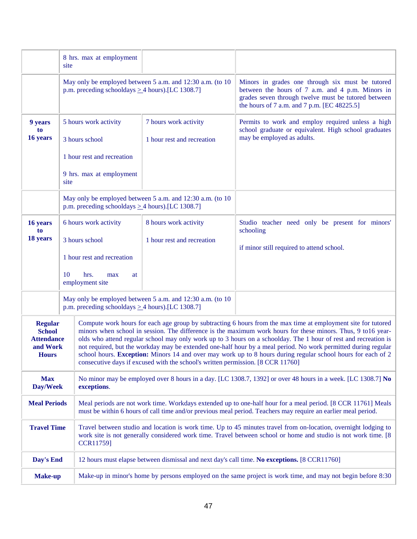|                                                                                  | site                                                                                                                                                                                                                                                                                                                                                                                                                                                                                                                                                                                                                                                                  | 8 hrs. max at employment                                                                                                    |                                                           |                                                                                                                                                                                                            |  |
|----------------------------------------------------------------------------------|-----------------------------------------------------------------------------------------------------------------------------------------------------------------------------------------------------------------------------------------------------------------------------------------------------------------------------------------------------------------------------------------------------------------------------------------------------------------------------------------------------------------------------------------------------------------------------------------------------------------------------------------------------------------------|-----------------------------------------------------------------------------------------------------------------------------|-----------------------------------------------------------|------------------------------------------------------------------------------------------------------------------------------------------------------------------------------------------------------------|--|
|                                                                                  |                                                                                                                                                                                                                                                                                                                                                                                                                                                                                                                                                                                                                                                                       | p.m. preceding schooldays $\geq$ 4 hours). [LC 1308.7]                                                                      | May only be employed between 5 a.m. and 12:30 a.m. (to 10 | Minors in grades one through six must be tutored<br>between the hours of 7 a.m. and 4 p.m. Minors in<br>grades seven through twelve must be tutored between<br>the hours of 7 a.m. and 7 p.m. [EC 48225.5] |  |
| 9 years<br>to<br>16 years                                                        | site                                                                                                                                                                                                                                                                                                                                                                                                                                                                                                                                                                                                                                                                  | 5 hours work activity<br>3 hours school<br>1 hour rest and recreation<br>9 hrs. max at employment                           | 7 hours work activity<br>1 hour rest and recreation       | Permits to work and employ required unless a high<br>school graduate or equivalent. High school graduates<br>may be employed as adults.                                                                    |  |
|                                                                                  |                                                                                                                                                                                                                                                                                                                                                                                                                                                                                                                                                                                                                                                                       | p.m. preceding schooldays $\geq$ 4 hours). [LC 1308.7]                                                                      | May only be employed between 5 a.m. and 12:30 a.m. (to 10 |                                                                                                                                                                                                            |  |
| 16 years<br>to<br>18 years                                                       | 10                                                                                                                                                                                                                                                                                                                                                                                                                                                                                                                                                                                                                                                                    | 6 hours work activity<br>3 hours school<br>1 hour rest and recreation<br>hrs.<br>max<br>at                                  | 8 hours work activity<br>1 hour rest and recreation       | Studio teacher need only be present for minors'<br>schooling<br>if minor still required to attend school.                                                                                                  |  |
|                                                                                  |                                                                                                                                                                                                                                                                                                                                                                                                                                                                                                                                                                                                                                                                       | employment site<br>p.m. preceding schooldays $\geq$ 4 hours). [LC 1308.7]                                                   | May only be employed between 5 a.m. and 12:30 a.m. (to 10 |                                                                                                                                                                                                            |  |
| <b>Regular</b><br><b>School</b><br><b>Attendance</b><br>and Work<br><b>Hours</b> | Compute work hours for each age group by subtracting 6 hours from the max time at employment site for tutored<br>minors when school in session. The difference is the maximum work hours for these minors. Thus, 9 to16 year-<br>olds who attend regular school may only work up to 3 hours on a schoolday. The 1 hour of rest and recreation is<br>not required, but the workday may be extended one-half hour by a meal period. No work permitted during regular<br>school hours. Exception: Minors 14 and over may work up to 8 hours during regular school hours for each of 2<br>consecutive days if excused with the school's written permission. [8 CCR 11760] |                                                                                                                             |                                                           |                                                                                                                                                                                                            |  |
| <b>Max</b><br>Day/Week                                                           |                                                                                                                                                                                                                                                                                                                                                                                                                                                                                                                                                                                                                                                                       | No minor may be employed over 8 hours in a day. [LC 1308.7, 1392] or over 48 hours in a week. [LC 1308.7] No<br>exceptions. |                                                           |                                                                                                                                                                                                            |  |
| <b>Meal Periods</b>                                                              | Meal periods are not work time. Workdays extended up to one-half hour for a meal period. [8 CCR 11761] Meals<br>must be within 6 hours of call time and/or previous meal period. Teachers may require an earlier meal period.                                                                                                                                                                                                                                                                                                                                                                                                                                         |                                                                                                                             |                                                           |                                                                                                                                                                                                            |  |
| <b>Travel Time</b>                                                               | Travel between studio and location is work time. Up to 45 minutes travel from on-location, overnight lodging to<br>work site is not generally considered work time. Travel between school or home and studio is not work time. [8<br><b>CCR11759</b>                                                                                                                                                                                                                                                                                                                                                                                                                  |                                                                                                                             |                                                           |                                                                                                                                                                                                            |  |
| Day's End                                                                        | 12 hours must elapse between dismissal and next day's call time. No exceptions. [8 CCR11760]                                                                                                                                                                                                                                                                                                                                                                                                                                                                                                                                                                          |                                                                                                                             |                                                           |                                                                                                                                                                                                            |  |
| <b>Make-up</b>                                                                   |                                                                                                                                                                                                                                                                                                                                                                                                                                                                                                                                                                                                                                                                       | Make-up in minor's home by persons employed on the same project is work time, and may not begin before 8:30                 |                                                           |                                                                                                                                                                                                            |  |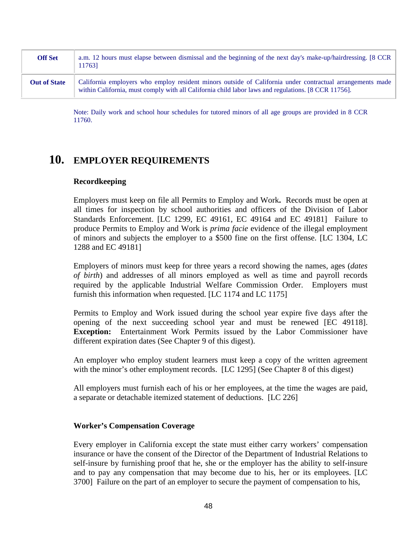| <b>Off Set</b>      | a.m. 12 hours must elapse between dismissal and the beginning of the next day's make-up/hairdressing. [8 CCR<br>11763]                                                                                           |
|---------------------|------------------------------------------------------------------------------------------------------------------------------------------------------------------------------------------------------------------|
| <b>Out of State</b> | California employers who employ resident minors outside of California under contractual arrangements made<br>within California, must comply with all California child labor laws and regulations. [8 CCR 11756]. |

Note: Daily work and school hour schedules for tutored minors of all age groups are provided in 8 CCR 11760.

## **10. EMPLOYER REQUIREMENTS**

#### **Recordkeeping**

Employers must keep on file all Permits to Employ and Work**.** Records must be open at all times for inspection by school authorities and officers of the Division of Labor Standards Enforcement. [LC 1299, EC 49161, EC 49164 and EC 49181] Failure to produce Permits to Employ and Work is *prima facie* evidence of the illegal employment of minors and subjects the employer to a \$500 fine on the first offense. [LC 1304, LC 1288 and EC 49181]

Employers of minors must keep for three years a record showing the names, ages (*dates of birth*) and addresses of all minors employed as well as time and payroll records required by the applicable Industrial Welfare Commission Order. Employers must furnish this information when requested. [LC 1174 and LC 1175]

Permits to Employ and Work issued during the school year expire five days after the opening of the next succeeding school year and must be renewed [EC 49118]. **Exception:** Entertainment Work Permits issued by the Labor Commissioner have different expiration dates (See Chapter 9 of this digest).

An employer who employ student learners must keep a copy of the written agreement with the minor's other employment records. [LC 1295] (See Chapter 8 of this digest)

All employers must furnish each of his or her employees, at the time the wages are paid, a separate or detachable itemized statement of deductions. [LC 226]

#### **Worker's Compensation Coverage**

Every employer in California except the state must either carry workers' compensation insurance or have the consent of the Director of the Department of Industrial Relations to self-insure by furnishing proof that he, she or the employer has the ability to self-insure and to pay any compensation that may become due to his, her or its employees. [LC 3700] Failure on the part of an employer to secure the payment of compensation to his,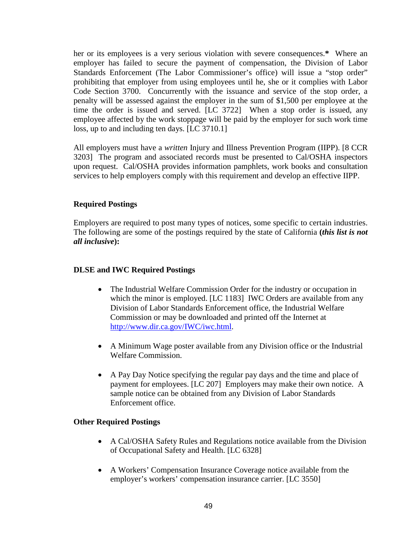her or its employees is a very serious violation with severe consequences.**\*** Where an employer has failed to secure the payment of compensation, the Division of Labor Standards Enforcement (The Labor Commissioner's office) will issue a "stop order" prohibiting that employer from using employees until he, she or it complies with Labor Code Section 3700. Concurrently with the issuance and service of the stop order, a penalty will be assessed against the employer in the sum of \$1,500 per employee at the time the order is issued and served. [LC 3722] When a stop order is issued, any employee affected by the work stoppage will be paid by the employer for such work time loss, up to and including ten days. [LC 3710.1]

All employers must have a *written* Injury and Illness Prevention Program (IIPP). [8 CCR 3203] The program and associated records must be presented to Cal/OSHA inspectors upon request. Cal/OSHA provides information pamphlets, work books and consultation services to help employers comply with this requirement and develop an effective IIPP.

#### **Required Postings**

Employers are required to post many types of notices, some specific to certain industries. The following are some of the postings required by the state of California **(***this list is not all inclusive***):**

#### **DLSE and IWC Required Postings**

- The Industrial Welfare Commission Order for the industry or occupation in which the minor is employed. [LC 1183] IWC Orders are available from any Division of Labor Standards Enforcement office, the Industrial Welfare Commission or may be downloaded and printed off the Internet at [http://www.dir.ca.gov/IWC/iwc.html.](http://www.dir.ca.gov/IWC/iwc.html)
- A Minimum Wage poster available from any Division office or the Industrial Welfare Commission.
- A Pay Day Notice specifying the regular pay days and the time and place of payment for employees. [LC 207] Employers may make their own notice. A sample notice can be obtained from any Division of Labor Standards Enforcement office.

#### **Other Required Postings**

- A Cal/OSHA Safety Rules and Regulations notice available from the Division of Occupational Safety and Health. [LC 6328]
- A Workers' Compensation Insurance Coverage notice available from the employer's workers' compensation insurance carrier. [LC 3550]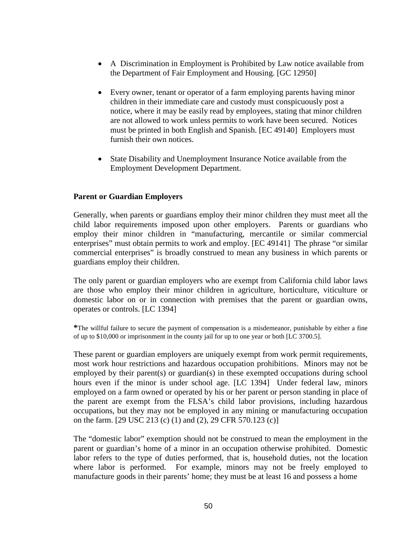- A Discrimination in Employment is Prohibited by Law notice available from the Department of Fair Employment and Housing. [GC 12950]
- Every owner, tenant or operator of a farm employing parents having minor children in their immediate care and custody must conspicuously post a notice, where it may be easily read by employees, stating that minor children are not allowed to work unless permits to work have been secured. Notices must be printed in both English and Spanish. [EC 49140] Employers must furnish their own notices.
- State Disability and Unemployment Insurance Notice available from the Employment Development Department.

#### **Parent or Guardian Employers**

Generally, when parents or guardians employ their minor children they must meet all the child labor requirements imposed upon other employers. Parents or guardians who employ their minor children in "manufacturing, mercantile or similar commercial enterprises" must obtain permits to work and employ. [EC 49141] The phrase "or similar commercial enterprises" is broadly construed to mean any business in which parents or guardians employ their children.

The only parent or guardian employers who are exempt from California child labor laws are those who employ their minor children in agriculture, horticulture, viticulture or domestic labor on or in connection with premises that the parent or guardian owns, operates or controls. [LC 1394]

**\***The willful failure to secure the payment of compensation is a misdemeanor, punishable by either a fine of up to \$10,000 or imprisonment in the county jail for up to one year or both [LC 3700.5].

These parent or guardian employers are uniquely exempt from work permit requirements, most work hour restrictions and hazardous occupation prohibitions. Minors may not be employed by their parent(s) or guardian(s) in these exempted occupations during school hours even if the minor is under school age. [LC 1394] Under federal law, minors employed on a farm owned or operated by his or her parent or person standing in place of the parent are exempt from the FLSA's child labor provisions, including hazardous occupations, but they may not be employed in any mining or manufacturing occupation on the farm. [29 USC 213 (c) (1) and (2), 29 CFR 570.123 (c)]

The "domestic labor" exemption should not be construed to mean the employment in the parent or guardian's home of a minor in an occupation otherwise prohibited. Domestic labor refers to the type of duties performed, that is, household duties, not the location where labor is performed. For example, minors may not be freely employed to manufacture goods in their parents' home; they must be at least 16 and possess a home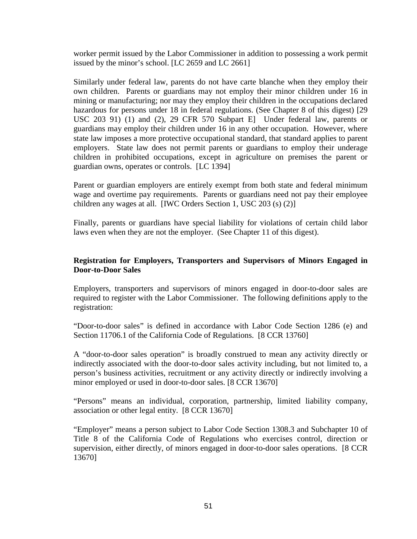worker permit issued by the Labor Commissioner in addition to possessing a work permit issued by the minor's school. [LC 2659 and LC 2661]

Similarly under federal law, parents do not have carte blanche when they employ their own children. Parents or guardians may not employ their minor children under 16 in mining or manufacturing; nor may they employ their children in the occupations declared hazardous for persons under 18 in federal regulations. (See Chapter 8 of this digest) [29] USC 203 91) (1) and (2), 29 CFR 570 Subpart E] Under federal law, parents or guardians may employ their children under 16 in any other occupation. However, where state law imposes a more protective occupational standard, that standard applies to parent employers. State law does not permit parents or guardians to employ their underage children in prohibited occupations, except in agriculture on premises the parent or guardian owns, operates or controls. [LC 1394]

Parent or guardian employers are entirely exempt from both state and federal minimum wage and overtime pay requirements. Parents or guardians need not pay their employee children any wages at all. [IWC Orders Section 1, USC 203 (s) (2)]

Finally, parents or guardians have special liability for violations of certain child labor laws even when they are not the employer. (See Chapter 11 of this digest).

#### **Registration for Employers, Transporters and Supervisors of Minors Engaged in Door-to-Door Sales**

Employers, transporters and supervisors of minors engaged in door-to-door sales are required to register with the Labor Commissioner. The following definitions apply to the registration:

"Door-to-door sales" is defined in accordance with Labor Code Section 1286 (e) and Section 11706.1 of the California Code of Regulations. [8 CCR 13760]

A "door-to-door sales operation" is broadly construed to mean any activity directly or indirectly associated with the door-to-door sales activity including, but not limited to, a person's business activities, recruitment or any activity directly or indirectly involving a minor employed or used in door-to-door sales. [8 CCR 13670]

"Persons" means an individual, corporation, partnership, limited liability company, association or other legal entity. [8 CCR 13670]

"Employer" means a person subject to Labor Code Section 1308.3 and Subchapter 10 of Title 8 of the California Code of Regulations who exercises control, direction or supervision, either directly, of minors engaged in door-to-door sales operations. [8 CCR 13670]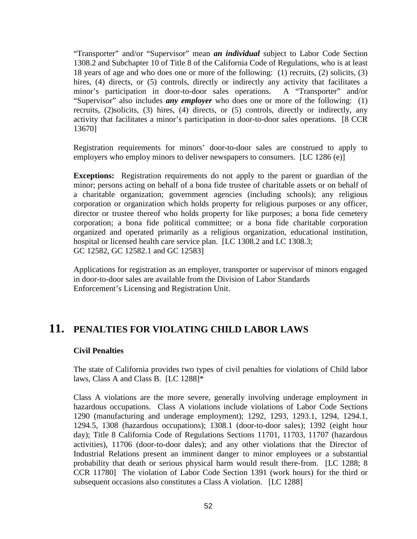"Transporter" and/or "Supervisor" mean *an individual* subject to Labor Code Section 1308.2 and Subchapter 10 of Title 8 of the California Code of Regulations, who is at least 18 years of age and who does one or more of the following: (1) recruits, (2) solicits, (3) hires, (4) directs, or (5) controls, directly or indirectly any activity that facilitates a minor's participation in door-to-door sales operations. A "Transporter" and/or "Supervisor" also includes *any employer* who does one or more of the following: (1) recruits, (2)solicits, (3) hires, (4) directs, or (5) controls, directly or indirectly, any activity that facilitates a minor's participation in door-to-door sales operations. [8 CCR 13670]

Registration requirements for minors' door-to-door sales are construed to apply to employers who employ minors to deliver newspapers to consumers. [LC 1286 (e)]

**Exceptions:** Registration requirements do not apply to the parent or guardian of the minor; persons acting on behalf of a bona fide trustee of charitable assets or on behalf of a charitable organization; government agencies (including schools); any religious corporation or organization which holds property for religious purposes or any officer, director or trustee thereof who holds property for like purposes; a bona fide cemetery corporation; a bona fide political committee; or a bona fide charitable corporation organized and operated primarily as a religious organization, educational institution, hospital or licensed health care service plan. [LC 1308.2 and LC 1308.3; GC 12582, GC 12582.1 and GC 12583]

Applications for registration as an employer, transporter or supervisor of minors engaged in door-to-door sales are available from the Division of Labor Standards Enforcement's Licensing and Registration Unit.

## **11. PENALTIES FOR VIOLATING CHILD LABOR LAWS**

#### **Civil Penalties**

The state of California provides two types of civil penalties for violations of Child labor laws, Class A and Class B. [LC 1288]\*

Class A violations are the more severe, generally involving underage employment in hazardous occupations. Class A violations include violations of Labor Code Sections 1290 (manufacturing and underage employment); 1292, 1293, 1293.1, 1294, 1294.1, 1294.5, 1308 (hazardous occupations); 1308.1 (door-to-door sales); 1392 (eight hour day); Title 8 California Code of Regulations Sections 11701, 11703, 11707 (hazardous activities), 11706 (door-to-door dales); and any other violations that the Director of Industrial Relations present an imminent danger to minor employees or a substantial probability that death or serious physical harm would result there-from. [LC 1288; 8 CCR 11780] The violation of Labor Code Section 1391 (work hours) for the third or subsequent occasions also constitutes a Class A violation. [LC 1288]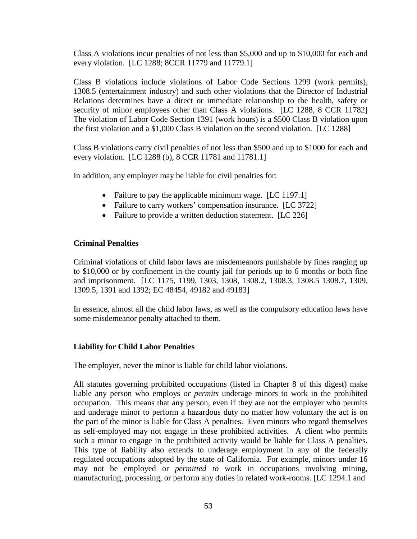Class A violations incur penalties of not less than \$5,000 and up to \$10,000 for each and every violation. [LC 1288; 8CCR 11779 and 11779.1]

Class B violations include violations of Labor Code Sections 1299 (work permits), 1308.5 (entertainment industry) and such other violations that the Director of Industrial Relations determines have a direct or immediate relationship to the health, safety or security of minor employees other than Class A violations. [LC 1288, 8 CCR 11782] The violation of Labor Code Section 1391 (work hours) is a \$500 Class B violation upon the first violation and a \$1,000 Class B violation on the second violation. [LC 1288]

Class B violations carry civil penalties of not less than \$500 and up to \$1000 for each and every violation. [LC 1288 (b), 8 CCR 11781 and 11781.1]

In addition, any employer may be liable for civil penalties for:

- Failure to pay the applicable minimum wage. [LC 1197.1]
- Failure to carry workers' compensation insurance. [LC 3722]
- Failure to provide a written deduction statement. [LC 226]

#### **Criminal Penalties**

Criminal violations of child labor laws are misdemeanors punishable by fines ranging up to \$10,000 or by confinement in the county jail for periods up to 6 months or both fine and imprisonment. [LC 1175, 1199, 1303, 1308, 1308.2, 1308.3, 1308.5 1308.7, 1309, 1309.5, 1391 and 1392; EC 48454, 49182 and 49183]

In essence, almost all the child labor laws, as well as the compulsory education laws have some misdemeanor penalty attached to them.

#### **Liability for Child Labor Penalties**

The employer, never the minor is liable for child labor violations.

All statutes governing prohibited occupations (listed in Chapter 8 of this digest) make liable any person who employs *or permits* underage minors to work in the prohibited occupation. This means that any person, even if they are not the employer who permits and underage minor to perform a hazardous duty no matter how voluntary the act is on the part of the minor is liable for Class A penalties. Even minors who regard themselves as self-employed may not engage in these prohibited activities. A client who permits such a minor to engage in the prohibited activity would be liable for Class A penalties. This type of liability also extends to underage employment in any of the federally regulated occupations adopted by the state of California. For example, minors under 16 may not be employed or *permitted to* work in occupations involving mining, manufacturing, processing, or perform any duties in related work-rooms. [LC 1294.1 and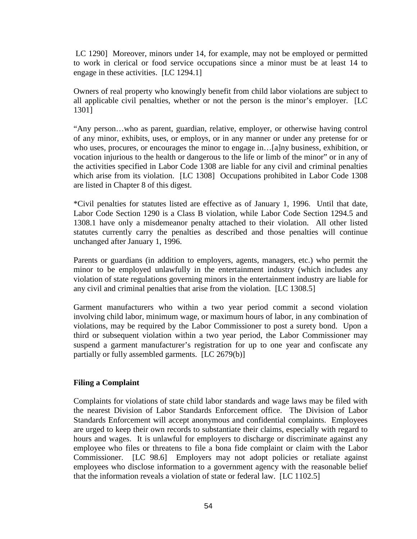LC 1290] Moreover, minors under 14, for example, may not be employed or permitted to work in clerical or food service occupations since a minor must be at least 14 to engage in these activities. [LC 1294.1]

Owners of real property who knowingly benefit from child labor violations are subject to all applicable civil penalties, whether or not the person is the minor's employer. [LC 1301]

"Any person…who as parent, guardian, relative, employer, or otherwise having control of any minor, exhibits, uses, or employs, or in any manner or under any pretense for or who uses, procures, or encourages the minor to engage in…[a]ny business, exhibition, or vocation injurious to the health or dangerous to the life or limb of the minor" or in any of the activities specified in Labor Code 1308 are liable for any civil and criminal penalties which arise from its violation. [LC 1308] Occupations prohibited in Labor Code 1308 are listed in Chapter 8 of this digest.

\*Civil penalties for statutes listed are effective as of January 1, 1996. Until that date, Labor Code Section 1290 is a Class B violation, while Labor Code Section 1294.5 and 1308.1 have only a misdemeanor penalty attached to their violation. All other listed statutes currently carry the penalties as described and those penalties will continue unchanged after January 1, 1996.

Parents or guardians (in addition to employers, agents, managers, etc.) who permit the minor to be employed unlawfully in the entertainment industry (which includes any violation of state regulations governing minors in the entertainment industry are liable for any civil and criminal penalties that arise from the violation. [LC 1308.5]

Garment manufacturers who within a two year period commit a second violation involving child labor, minimum wage, or maximum hours of labor, in any combination of violations, may be required by the Labor Commissioner to post a surety bond. Upon a third or subsequent violation within a two year period, the Labor Commissioner may suspend a garment manufacturer's registration for up to one year and confiscate any partially or fully assembled garments. [LC 2679(b)]

#### **Filing a Complaint**

Complaints for violations of state child labor standards and wage laws may be filed with the nearest Division of Labor Standards Enforcement office. The Division of Labor Standards Enforcement will accept anonymous and confidential complaints. Employees are urged to keep their own records to substantiate their claims, especially with regard to hours and wages. It is unlawful for employers to discharge or discriminate against any employee who files or threatens to file a bona fide complaint or claim with the Labor Commissioner. [LC 98.6] Employers may not adopt policies or retaliate against employees who disclose information to a government agency with the reasonable belief that the information reveals a violation of state or federal law. [LC 1102.5]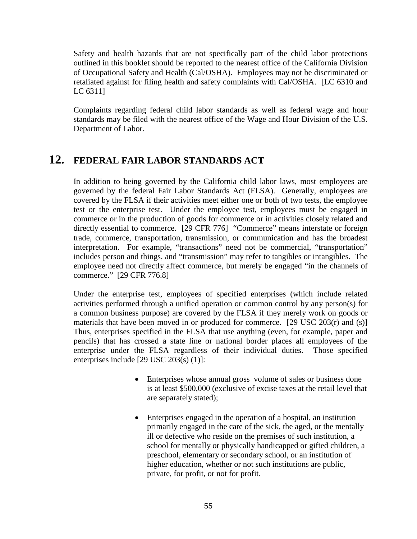Safety and health hazards that are not specifically part of the child labor protections outlined in this booklet should be reported to the nearest office of the California Division of Occupational Safety and Health (Cal/OSHA). Employees may not be discriminated or retaliated against for filing health and safety complaints with Cal/OSHA. [LC 6310 and LC 6311]

Complaints regarding federal child labor standards as well as federal wage and hour standards may be filed with the nearest office of the Wage and Hour Division of the U.S. Department of Labor.

## **12. FEDERAL FAIR LABOR STANDARDS ACT**

In addition to being governed by the California child labor laws, most employees are governed by the federal Fair Labor Standards Act (FLSA). Generally, employees are covered by the FLSA if their activities meet either one or both of two tests, the employee test or the enterprise test. Under the employee test, employees must be engaged in commerce or in the production of goods for commerce or in activities closely related and directly essential to commerce. [29 CFR 776] "Commerce" means interstate or foreign trade, commerce, transportation, transmission, or communication and has the broadest interpretation. For example, "transactions" need not be commercial, "transportation" includes person and things, and "transmission" may refer to tangibles or intangibles. The employee need not directly affect commerce, but merely be engaged "in the channels of commerce." [29 CFR 776.8]

Under the enterprise test, employees of specified enterprises (which include related activities performed through a unified operation or common control by any person(s) for a common business purpose) are covered by the FLSA if they merely work on goods or materials that have been moved in or produced for commerce. [29 USC 203(r) and (s)] Thus, enterprises specified in the FLSA that use anything (even, for example, paper and pencils) that has crossed a state line or national border places all employees of the enterprise under the FLSA regardless of their individual duties. Those specified enterprises include [29 USC 203(s) (1)]:

- Enterprises whose annual gross volume of sales or business done is at least \$500,000 (exclusive of excise taxes at the retail level that are separately stated);
- Enterprises engaged in the operation of a hospital, an institution primarily engaged in the care of the sick, the aged, or the mentally ill or defective who reside on the premises of such institution, a school for mentally or physically handicapped or gifted children, a preschool, elementary or secondary school, or an institution of higher education, whether or not such institutions are public, private, for profit, or not for profit.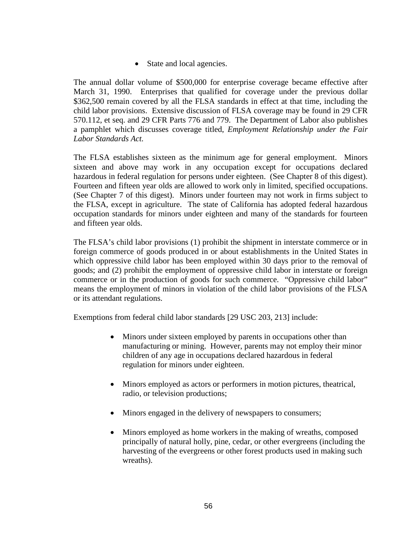• State and local agencies.

The annual dollar volume of \$500,000 for enterprise coverage became effective after March 31, 1990. Enterprises that qualified for coverage under the previous dollar \$362,500 remain covered by all the FLSA standards in effect at that time, including the child labor provisions. Extensive discussion of FLSA coverage may be found in 29 CFR 570.112, et seq. and 29 CFR Parts 776 and 779. The Department of Labor also publishes a pamphlet which discusses coverage titled, *Employment Relationship under the Fair Labor Standards Act.*

The FLSA establishes sixteen as the minimum age for general employment. Minors sixteen and above may work in any occupation except for occupations declared hazardous in federal regulation for persons under eighteen. (See Chapter 8 of this digest). Fourteen and fifteen year olds are allowed to work only in limited, specified occupations. (See Chapter 7 of this digest). Minors under fourteen may not work in firms subject to the FLSA, except in agriculture. The state of California has adopted federal hazardous occupation standards for minors under eighteen and many of the standards for fourteen and fifteen year olds.

The FLSA's child labor provisions (1) prohibit the shipment in interstate commerce or in foreign commerce of goods produced in or about establishments in the United States in which oppressive child labor has been employed within 30 days prior to the removal of goods; and (2) prohibit the employment of oppressive child labor in interstate or foreign commerce or in the production of goods for such commerce. "Oppressive child labor" means the employment of minors in violation of the child labor provisions of the FLSA or its attendant regulations.

Exemptions from federal child labor standards [29 USC 203, 213] include:

- Minors under sixteen employed by parents in occupations other than manufacturing or mining. However, parents may not employ their minor children of any age in occupations declared hazardous in federal regulation for minors under eighteen.
- Minors employed as actors or performers in motion pictures, theatrical, radio, or television productions;
- Minors engaged in the delivery of newspapers to consumers;
- Minors employed as home workers in the making of wreaths, composed principally of natural holly, pine, cedar, or other evergreens (including the harvesting of the evergreens or other forest products used in making such wreaths).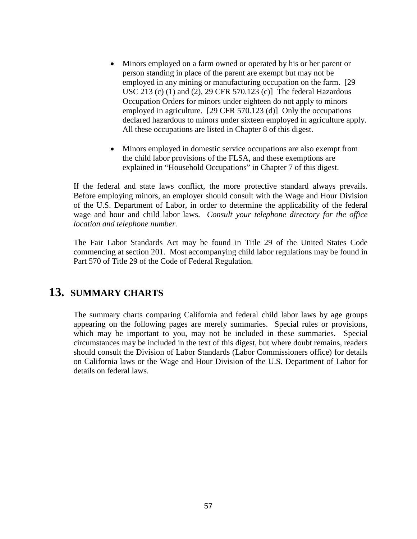- Minors employed on a farm owned or operated by his or her parent or person standing in place of the parent are exempt but may not be employed in any mining or manufacturing occupation on the farm. [29 USC 213 (c) (1) and (2), 29 CFR 570.123 (c)] The federal Hazardous Occupation Orders for minors under eighteen do not apply to minors employed in agriculture. [29 CFR 570.123 (d)] Only the occupations declared hazardous to minors under sixteen employed in agriculture apply. All these occupations are listed in Chapter 8 of this digest.
- Minors employed in domestic service occupations are also exempt from the child labor provisions of the FLSA, and these exemptions are explained in "Household Occupations" in Chapter 7 of this digest.

If the federal and state laws conflict, the more protective standard always prevails. Before employing minors, an employer should consult with the Wage and Hour Division of the U.S. Department of Labor, in order to determine the applicability of the federal wage and hour and child labor laws. *Consult your telephone directory for the office location and telephone number.*

The Fair Labor Standards Act may be found in Title 29 of the United States Code commencing at section 201. Most accompanying child labor regulations may be found in Part 570 of Title 29 of the Code of Federal Regulation.

## **13. SUMMARY CHARTS**

The summary charts comparing California and federal child labor laws by age groups appearing on the following pages are merely summaries. Special rules or provisions, which may be important to you, may not be included in these summaries. Special circumstances may be included in the text of this digest, but where doubt remains, readers should consult the Division of Labor Standards (Labor Commissioners office) for details on California laws or the Wage and Hour Division of the U.S. Department of Labor for details on federal laws.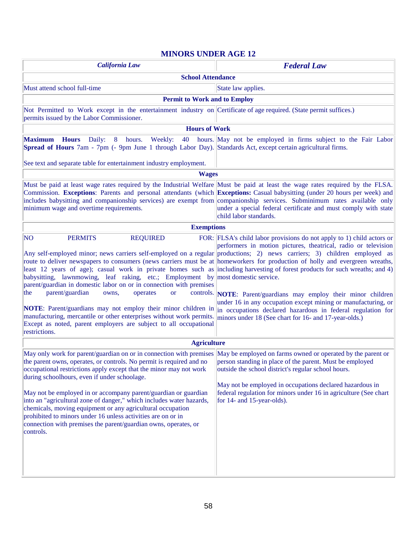### **MINORS UNDER AGE 12**

| <b>California Law</b>                                                                                                                                                                                                                                                                                                                                                                                                                                                                                                                                                                                                                                                                                                                                                                                                                                                                                    | <b>Federal Law</b>                                                                                                                                                                                                                                                                                                                                                                                   |  |  |
|----------------------------------------------------------------------------------------------------------------------------------------------------------------------------------------------------------------------------------------------------------------------------------------------------------------------------------------------------------------------------------------------------------------------------------------------------------------------------------------------------------------------------------------------------------------------------------------------------------------------------------------------------------------------------------------------------------------------------------------------------------------------------------------------------------------------------------------------------------------------------------------------------------|------------------------------------------------------------------------------------------------------------------------------------------------------------------------------------------------------------------------------------------------------------------------------------------------------------------------------------------------------------------------------------------------------|--|--|
| <b>School Attendance</b>                                                                                                                                                                                                                                                                                                                                                                                                                                                                                                                                                                                                                                                                                                                                                                                                                                                                                 |                                                                                                                                                                                                                                                                                                                                                                                                      |  |  |
| Must attend school full-time                                                                                                                                                                                                                                                                                                                                                                                                                                                                                                                                                                                                                                                                                                                                                                                                                                                                             | State law applies.                                                                                                                                                                                                                                                                                                                                                                                   |  |  |
| <b>Permit to Work and to Employ</b>                                                                                                                                                                                                                                                                                                                                                                                                                                                                                                                                                                                                                                                                                                                                                                                                                                                                      |                                                                                                                                                                                                                                                                                                                                                                                                      |  |  |
| Not Permitted to Work except in the entertainment industry on Certificate of age required. (State permit suffices.)<br>permits issued by the Labor Commissioner.                                                                                                                                                                                                                                                                                                                                                                                                                                                                                                                                                                                                                                                                                                                                         |                                                                                                                                                                                                                                                                                                                                                                                                      |  |  |
| <b>Hours of Work</b>                                                                                                                                                                                                                                                                                                                                                                                                                                                                                                                                                                                                                                                                                                                                                                                                                                                                                     |                                                                                                                                                                                                                                                                                                                                                                                                      |  |  |
| Weekly:<br><b>Maximum</b><br><b>Hours</b><br>Daily:<br>8<br>hours.<br><b>Spread of Hours</b> 7am - 7pm (- 9pm June 1 through Labor Day). Standards Act, except certain agricultural firms.                                                                                                                                                                                                                                                                                                                                                                                                                                                                                                                                                                                                                                                                                                               | 40 hours. May not be employed in firms subject to the Fair Labor                                                                                                                                                                                                                                                                                                                                     |  |  |
| See text and separate table for entertainment industry employment.                                                                                                                                                                                                                                                                                                                                                                                                                                                                                                                                                                                                                                                                                                                                                                                                                                       |                                                                                                                                                                                                                                                                                                                                                                                                      |  |  |
| <b>Wages</b>                                                                                                                                                                                                                                                                                                                                                                                                                                                                                                                                                                                                                                                                                                                                                                                                                                                                                             |                                                                                                                                                                                                                                                                                                                                                                                                      |  |  |
| Must be paid at least wage rates required by the Industrial Welfare Must be paid at least the wage rates required by the FLSA.<br>Commission. Exceptions: Parents and personal attendants (which Exceptions: Casual babysitting (under 20 hours per week) and<br>includes babysitting and companionship services) are exempt from companionship services. Subminimum rates available only<br>minimum wage and overtime requirements.                                                                                                                                                                                                                                                                                                                                                                                                                                                                     | under a special federal certificate and must comply with state<br>child labor standards.                                                                                                                                                                                                                                                                                                             |  |  |
| <b>Exemptions</b>                                                                                                                                                                                                                                                                                                                                                                                                                                                                                                                                                                                                                                                                                                                                                                                                                                                                                        |                                                                                                                                                                                                                                                                                                                                                                                                      |  |  |
| <b>REQUIRED</b><br>NO <sub>1</sub><br><b>PERMITS</b><br>Any self-employed minor; news carriers self-employed on a regular productions; 2) news carriers; 3) children employed as<br>route to deliver newspapers to consumers (news carriers must be at homeworkers for production of holly and evergreen wreaths,<br>least 12 years of age); casual work in private homes such as including harvesting of forest products for such wreaths; and 4)<br>babysitting, lawnmowing, leaf raking, etc.; Employment by most domestic service.<br>parent/guardian in domestic labor on or in connection with premises<br>parent/guardian<br>the<br>owns,<br>operates<br><b>or</b><br>NOTE: Parent/guardians may not employ their minor children in<br>manufacturing, mercantile or other enterprises without work permits.<br>Except as noted, parent employers are subject to all occupational<br>restrictions. | FOR: FLSA's child labor provisions do not apply to 1) child actors or<br>performers in motion pictures, theatrical, radio or television<br>controls. NOTE: Parent/guardians may employ their minor children<br>under 16 in any occupation except mining or manufacturing, or<br>in occupations declared hazardous in federal regulation for<br>minors under 18 (See chart for 16- and 17-year-olds.) |  |  |
| <b>Agriculture</b>                                                                                                                                                                                                                                                                                                                                                                                                                                                                                                                                                                                                                                                                                                                                                                                                                                                                                       |                                                                                                                                                                                                                                                                                                                                                                                                      |  |  |
| May only work for parent/guardian on or in connection with premises May be employed on farms owned or operated by the parent or<br>the parent owns, operates, or controls. No permit is required and no person standing in place of the parent. Must be employed<br>occupational restrictions apply except that the minor may not work<br>during schoolhours, even if under schoolage.<br>May not be employed in or accompany parent/guardian or guardian<br>into an "agricultural zone of danger," which includes water hazards,<br>chemicals, moving equipment or any agricultural occupation<br>prohibited to minors under 16 unless activities are on or in<br>connection with premises the parent/guardian owns, operates, or<br>controls.                                                                                                                                                          | outside the school district's regular school hours.<br>May not be employed in occupations declared hazardous in<br>federal regulation for minors under 16 in agriculture (See chart<br>for 14- and 15-year-olds).                                                                                                                                                                                    |  |  |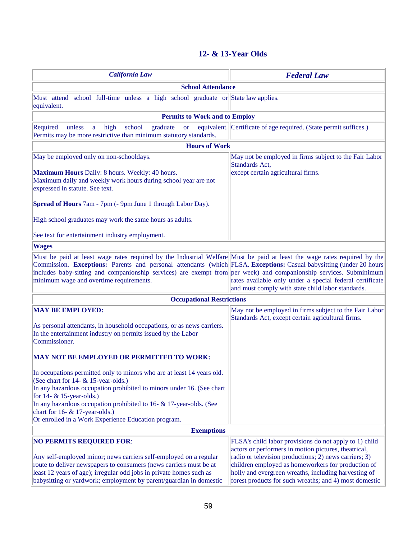## **12- & 13-Year Olds**

i.

| <b>California Law</b>                                                                                                                                                                                                                                                                                                                                                                                            | <b>Federal Law</b>                                                                                                                                                                                                                                                                                                                              |  |
|------------------------------------------------------------------------------------------------------------------------------------------------------------------------------------------------------------------------------------------------------------------------------------------------------------------------------------------------------------------------------------------------------------------|-------------------------------------------------------------------------------------------------------------------------------------------------------------------------------------------------------------------------------------------------------------------------------------------------------------------------------------------------|--|
| <b>School Attendance</b>                                                                                                                                                                                                                                                                                                                                                                                         |                                                                                                                                                                                                                                                                                                                                                 |  |
| Must attend school full-time unless a high school graduate or State law applies.<br>equivalent.                                                                                                                                                                                                                                                                                                                  |                                                                                                                                                                                                                                                                                                                                                 |  |
| <b>Permits to Work and to Employ</b>                                                                                                                                                                                                                                                                                                                                                                             |                                                                                                                                                                                                                                                                                                                                                 |  |
| Required<br>high<br>school<br>graduate<br>unless<br>a<br><b>or</b><br>Permits may be more restrictive than minimum statutory standards.                                                                                                                                                                                                                                                                          | equivalent. Certificate of age required. (State permit suffices.)                                                                                                                                                                                                                                                                               |  |
| <b>Hours of Work</b>                                                                                                                                                                                                                                                                                                                                                                                             |                                                                                                                                                                                                                                                                                                                                                 |  |
| May be employed only on non-schooldays.<br>Maximum Hours Daily: 8 hours. Weekly: 40 hours.                                                                                                                                                                                                                                                                                                                       | May not be employed in firms subject to the Fair Labor<br>Standards Act,<br>except certain agricultural firms.                                                                                                                                                                                                                                  |  |
| Maximum daily and weekly work hours during school year are not<br>expressed in statute. See text.                                                                                                                                                                                                                                                                                                                |                                                                                                                                                                                                                                                                                                                                                 |  |
| <b>Spread of Hours</b> 7am - 7pm (- 9pm June 1 through Labor Day).                                                                                                                                                                                                                                                                                                                                               |                                                                                                                                                                                                                                                                                                                                                 |  |
| High school graduates may work the same hours as adults.                                                                                                                                                                                                                                                                                                                                                         |                                                                                                                                                                                                                                                                                                                                                 |  |
| See text for entertainment industry employment.                                                                                                                                                                                                                                                                                                                                                                  |                                                                                                                                                                                                                                                                                                                                                 |  |
| <b>Wages</b>                                                                                                                                                                                                                                                                                                                                                                                                     |                                                                                                                                                                                                                                                                                                                                                 |  |
| Must be paid at least wage rates required by the Industrial Welfare Must be paid at least the wage rates required by the<br>Commission. Exceptions: Parents and personal attendants (which FLSA. Exceptions: Casual babysitting (under 20 hours<br>includes baby-sitting and companionship services) are exempt from per week) and companionship services. Subminimum<br>minimum wage and overtime requirements. | rates available only under a special federal certificate<br>and must comply with state child labor standards.                                                                                                                                                                                                                                   |  |
| <b>Occupational Restrictions</b>                                                                                                                                                                                                                                                                                                                                                                                 |                                                                                                                                                                                                                                                                                                                                                 |  |
| <b>MAY BE EMPLOYED:</b>                                                                                                                                                                                                                                                                                                                                                                                          | May not be employed in firms subject to the Fair Labor<br>Standards Act, except certain agricultural firms.                                                                                                                                                                                                                                     |  |
| As personal attendants, in household occupations, or as news carriers.<br>In the entertainment industry on permits issued by the Labor<br>Commissioner.                                                                                                                                                                                                                                                          |                                                                                                                                                                                                                                                                                                                                                 |  |
| <b>MAY NOT BE EMPLOYED OR PERMITTED TO WORK:</b>                                                                                                                                                                                                                                                                                                                                                                 |                                                                                                                                                                                                                                                                                                                                                 |  |
| In occupations permitted only to minors who are at least 14 years old.<br>(See chart for $14 - \& 15$ -year-olds.)<br>In any hazardous occupation prohibited to minors under 16. (See chart                                                                                                                                                                                                                      |                                                                                                                                                                                                                                                                                                                                                 |  |
| for $14 - \& 15$ -year-olds.)<br>In any hazardous occupation prohibited to 16- & 17-year-olds. (See<br>chart for $16 - \& 17$ -year-olds.)                                                                                                                                                                                                                                                                       |                                                                                                                                                                                                                                                                                                                                                 |  |
| Or enrolled in a Work Experience Education program.                                                                                                                                                                                                                                                                                                                                                              |                                                                                                                                                                                                                                                                                                                                                 |  |
| <b>Exemptions</b>                                                                                                                                                                                                                                                                                                                                                                                                |                                                                                                                                                                                                                                                                                                                                                 |  |
| <b>NO PERMITS REQUIRED FOR:</b><br>Any self-employed minor; news carriers self-employed on a regular<br>route to deliver newspapers to consumers (news carriers must be at<br>least 12 years of age); irregular odd jobs in private homes such as<br>babysitting or yardwork; employment by parent/guardian in domestic                                                                                          | FLSA's child labor provisions do not apply to 1) child<br>actors or performers in motion pictures, theatrical,<br>radio or television productions; 2) news carriers; 3)<br>children employed as homeworkers for production of<br>holly and evergreen wreaths, including harvesting of<br>forest products for such wreaths; and 4) most domestic |  |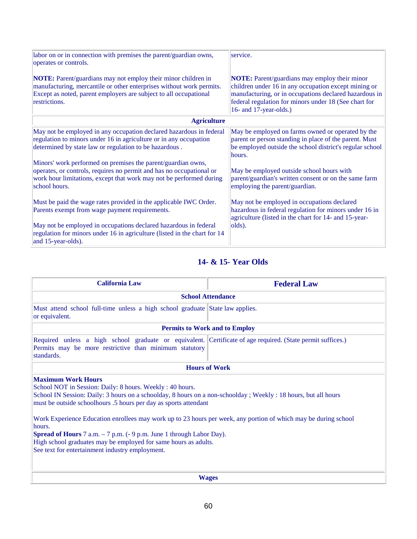| labor on or in connection with premises the parent/guardian owns,<br>operates or controls.                                                                                                                                         | service.                                                                                                                                                                                                                                           |
|------------------------------------------------------------------------------------------------------------------------------------------------------------------------------------------------------------------------------------|----------------------------------------------------------------------------------------------------------------------------------------------------------------------------------------------------------------------------------------------------|
| <b>NOTE:</b> Parent/guardians may not employ their minor children in<br>manufacturing, mercantile or other enterprises without work permits.<br>Except as noted, parent employers are subject to all occupational<br>restrictions. | NOTE: Parent/guardians may employ their minor<br>children under 16 in any occupation except mining or<br>manufacturing, or in occupations declared hazardous in<br>federal regulation for minors under 18 (See chart for<br>16- and 17-year-olds.) |
| <b>Agriculture</b>                                                                                                                                                                                                                 |                                                                                                                                                                                                                                                    |
| May not be employed in any occupation declared hazardous in federal<br>regulation to minors under 16 in agriculture or in any occupation<br>determined by state law or regulation to be hazardous.                                 | May be employed on farms owned or operated by the<br>parent or person standing in place of the parent. Must<br>be employed outside the school district's regular school<br>hours.                                                                  |
| Minors' work performed on premises the parent/guardian owns,<br>operates, or controls, requires no permit and has no occupational or<br>work hour limitations, except that work may not be performed during<br>school hours.       | May be employed outside school hours with<br>parent/guardian's written consent or on the same farm<br>employing the parent/guardian.                                                                                                               |
| Must be paid the wage rates provided in the applicable IWC Order.<br>Parents exempt from wage payment requirements.                                                                                                                | May not be employed in occupations declared<br>hazardous in federal regulation for minors under 16 in<br>agriculture (listed in the chart for 14- and 15-year-                                                                                     |
| May not be employed in occupations declared hazardous in federal<br>regulation for minors under 16 in agriculture (listed in the chart for 14<br>and 15-year-olds).                                                                | olds).                                                                                                                                                                                                                                             |

## **14- & 15- Year Olds**

| <b>California Law</b>                                                                                                                                                                                                                                                                                                                                                                                                                                                                                                                                                                                 | <b>Federal Law</b>                   |  |  |  |
|-------------------------------------------------------------------------------------------------------------------------------------------------------------------------------------------------------------------------------------------------------------------------------------------------------------------------------------------------------------------------------------------------------------------------------------------------------------------------------------------------------------------------------------------------------------------------------------------------------|--------------------------------------|--|--|--|
| <b>School Attendance</b>                                                                                                                                                                                                                                                                                                                                                                                                                                                                                                                                                                              |                                      |  |  |  |
| Must attend school full-time unless a high school graduate State law applies.<br>or equivalent.                                                                                                                                                                                                                                                                                                                                                                                                                                                                                                       |                                      |  |  |  |
|                                                                                                                                                                                                                                                                                                                                                                                                                                                                                                                                                                                                       | <b>Permits to Work and to Employ</b> |  |  |  |
| Required unless a high school graduate or equivalent. Certificate of age required. (State permit suffices.)<br>Permits may be more restrictive than minimum statutory<br>standards.                                                                                                                                                                                                                                                                                                                                                                                                                   |                                      |  |  |  |
|                                                                                                                                                                                                                                                                                                                                                                                                                                                                                                                                                                                                       | <b>Hours of Work</b>                 |  |  |  |
| <b>Maximum Work Hours</b><br>School NOT in Session: Daily: 8 hours. Weekly: 40 hours.<br>School IN Session: Daily: 3 hours on a schoolday, 8 hours on a non-schoolday; Weekly: 18 hours, but all hours<br>must be outside schoolhours .5 hours per day as sports attendant<br>Work Experience Education enrollees may work up to 23 hours per week, any portion of which may be during school<br>hours.<br>Spread of Hours 7 a.m. - 7 p.m. (- 9 p.m. June 1 through Labor Day).<br>High school graduates may be employed for same hours as adults.<br>See text for entertainment industry employment. |                                      |  |  |  |
| <b>Wages</b>                                                                                                                                                                                                                                                                                                                                                                                                                                                                                                                                                                                          |                                      |  |  |  |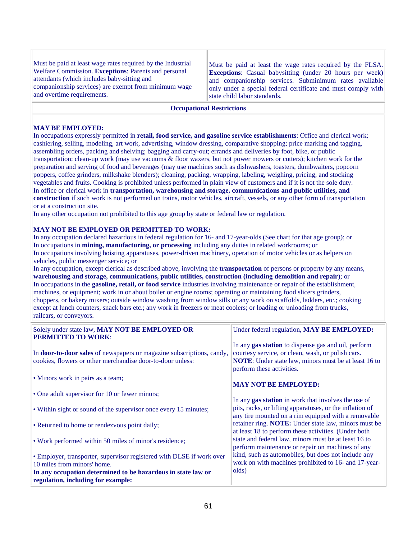Must be paid at least wage rates required by the Industrial Welfare Commission. **Exceptions**: Parents and personal attendants (which includes baby-sitting and companionship services) are exempt from minimum wage and overtime requirements.

Must be paid at least the wage rates required by the FLSA. **Exceptions**: Casual babysitting (under 20 hours per week) and companionship services. Subminimum rates available only under a special federal certificate and must comply with state child labor standards.

**Occupational Restrictions**

#### **MAY BE EMPLOYED:**

In occupations expressly permitted in **retail, food service, and gasoline service establishments**: Office and clerical work; cashiering, selling, modeling, art work, advertising, window dressing, comparative shopping; price marking and tagging, assembling orders, packing and shelving; bagging and carry-out; errands and deliveries by foot, bike, or public transportation; clean-up work (may use vacuums & floor waxers, but not power mowers or cutters); kitchen work for the preparation and serving of food and beverages (may use machines such as dishwashers, toasters, dumbwaiters, popcorn poppers, coffee grinders, milkshake blenders); cleaning, packing, wrapping, labeling, weighing, pricing, and stocking vegetables and fruits. Cooking is prohibited unless performed in plain view of customers and if it is not the sole duty. In office or clerical work in **transportation, warehousing and storage, communications and public utilities, and construction** if such work is not performed on trains, motor vehicles, aircraft, vessels, or any other form of transportation or at a construction site.

In any other occupation not prohibited to this age group by state or federal law or regulation.

#### **MAY NOT BE EMPLOYED OR PERMITTED TO WORK:**

In any occupation declared hazardous in federal regulation for 16- and 17-year-olds (See chart for that age group); or In occupations in **mining, manufacturing, or processing** including any duties in related workrooms; or In occupations involving hoisting apparatuses, power-driven machinery, operation of motor vehicles or as helpers on vehicles, public messenger service; or

In any occupation, except clerical as described above, involving the **transportation** of persons or property by any means, **warehousing and storage, communications, public utilities, construction (including demolition and repair**); or In occupations in the **gasoline, retail, or food service** industries involving maintenance or repair of the establishment, machines, or equipment; work in or about boiler or engine rooms; operating or maintaining food slicers grinders, choppers, or bakery mixers; outside window washing from window sills or any work on scaffolds, ladders, etc.; cooking except at lunch counters, snack bars etc.; any work in freezers or meat coolers; or loading or unloading from trucks, railcars, or conveyors.

| Solely under state law, MAY NOT BE EMPLOYED OR<br><b>PERMITTED TO WORK:</b>                                                                                          | Under federal regulation, MAY BE EMPLOYED:                                                                                                                                                    |
|----------------------------------------------------------------------------------------------------------------------------------------------------------------------|-----------------------------------------------------------------------------------------------------------------------------------------------------------------------------------------------|
| In door-to-door sales of newspapers or magazine subscriptions, candy,<br>cookies, flowers or other merchandise door-to-door unless:                                  | In any gas station to dispense gas and oil, perform<br>courtesy service, or clean, wash, or polish cars.<br>NOTE: Under state law, minors must be at least 16 to<br>perform these activities. |
| • Minors work in pairs as a team;                                                                                                                                    | <b>MAY NOT BE EMPLOYED:</b>                                                                                                                                                                   |
| • One adult supervisor for 10 or fewer minors;                                                                                                                       | In any gas station in work that involves the use of                                                                                                                                           |
| • Within sight or sound of the supervisor once every 15 minutes;                                                                                                     | pits, racks, or lifting apparatuses, or the inflation of<br>any tire mounted on a rim equipped with a removable                                                                               |
| • Returned to home or rendezvous point daily;                                                                                                                        | retainer ring. NOTE: Under state law, minors must be<br>at least 18 to perform these activities. (Under both                                                                                  |
| • Work performed within 50 miles of minor's residence;                                                                                                               | state and federal law, minors must be at least 16 to<br>perform maintenance or repair on machines of any                                                                                      |
| • Employer, transporter, supervisor registered with DLSE if work over<br>10 miles from minors' home.<br>In any occupation determined to be hazardous in state law or | kind, such as automobiles, but does not include any<br>work on with machines prohibited to 16- and 17-year-<br>olds)                                                                          |
| regulation, including for example:                                                                                                                                   |                                                                                                                                                                                               |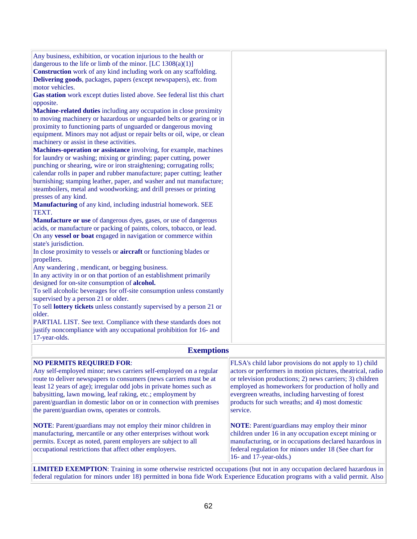| Any business, exhibition, or vocation injurious to the health or          |                                                            |
|---------------------------------------------------------------------------|------------------------------------------------------------|
| dangerous to the life or limb of the minor. [LC $1308(a)(1)$ ]            |                                                            |
| <b>Construction</b> work of any kind including work on any scaffolding.   |                                                            |
| Delivering goods, packages, papers (except newspapers), etc. from         |                                                            |
| motor vehicles.                                                           |                                                            |
| Gas station work except duties listed above. See federal list this chart  |                                                            |
| opposite.                                                                 |                                                            |
| Machine-related duties including any occupation in close proximity        |                                                            |
| to moving machinery or hazardous or unguarded belts or gearing or in      |                                                            |
| proximity to functioning parts of unguarded or dangerous moving           |                                                            |
| equipment. Minors may not adjust or repair belts or oil, wipe, or clean   |                                                            |
| machinery or assist in these activities.                                  |                                                            |
| Machines-operation or assistance involving, for example, machines         |                                                            |
| for laundry or washing; mixing or grinding; paper cutting, power          |                                                            |
| punching or shearing, wire or iron straightening; corrugating rolls;      |                                                            |
| calendar rolls in paper and rubber manufacture; paper cutting; leather    |                                                            |
| burnishing; stamping leather, paper, and washer and nut manufacture;      |                                                            |
| steamboilers, metal and woodworking; and drill presses or printing        |                                                            |
| presses of any kind.                                                      |                                                            |
| Manufacturing of any kind, including industrial homework. SEE             |                                                            |
| TEXT.                                                                     |                                                            |
| Manufacture or use of dangerous dyes, gases, or use of dangerous          |                                                            |
| acids, or manufacture or packing of paints, colors, tobacco, or lead.     |                                                            |
| On any vessel or boat engaged in navigation or commerce within            |                                                            |
| state's jurisdiction.                                                     |                                                            |
| In close proximity to vessels or <b>aircraft</b> or functioning blades or |                                                            |
| propellers.                                                               |                                                            |
| Any wandering, mendicant, or begging business.                            |                                                            |
| In any activity in or on that portion of an establishment primarily       |                                                            |
| designed for on-site consumption of alcohol.                              |                                                            |
| To sell alcoholic beverages for off-site consumption unless constantly    |                                                            |
| supervised by a person 21 or older.                                       |                                                            |
| To sell lottery tickets unless constantly supervised by a person 21 or    |                                                            |
| older.                                                                    |                                                            |
| PARTIAL LIST. See text. Compliance with these standards does not          |                                                            |
| justify noncompliance with any occupational prohibition for 16- and       |                                                            |
| 17-year-olds.                                                             |                                                            |
| <b>Exemptions</b>                                                         |                                                            |
| <b>NO PERMITS REQUIRED FOR:</b>                                           | FLSA's child labor provisions do not apply to 1) child     |
| Any self-employed minor; news carriers self-employed on a regular         | actors or performers in motion pictures, theatrical, radio |
| route to deliver newspapers to consumers (news carriers must be at        | or television productions; 2) news carriers; 3) children   |
| least 12 years of age); irregular odd jobs in private homes such as       | employed as homeworkers for production of holly and        |
| babysitting, lawn mowing, leaf raking, etc.; employment by                | evergreen wreaths, including harvesting of forest          |
| parent/guardian in domestic labor on or in connection with premises       | products for such wreaths; and 4) most domestic            |

**NOTE**: Parent/guardians may not employ their minor children in manufacturing, mercantile or any other enterprises without work permits. Except as noted, parent employers are subject to all occupational restrictions that affect other employers.

the parent/guardian owns, operates or controls.

products for such wreaths; and 4) most domestic service.

**NOTE**: Parent/guardians may employ their minor children under 16 in any occupation except mining or manufacturing, or in occupations declared hazardous in federal regulation for minors under 18 (See chart for 16- and 17-year-olds.)

**LIMITED EXEMPTION**: Training in some otherwise restricted occupations (but not in any occupation declared hazardous in federal regulation for minors under 18) permitted in bona fide Work Experience Education programs with a valid permit. Also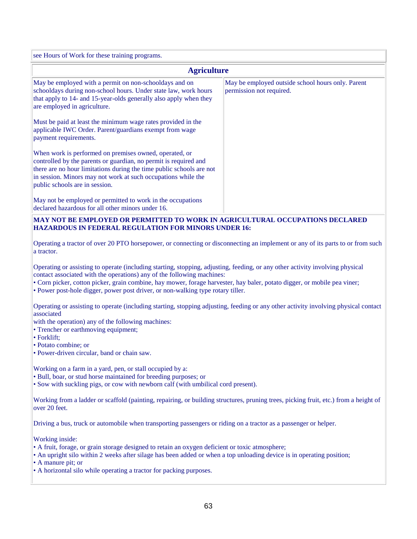see Hours of Work for these training programs.

| $\frac{1}{2}$ of $\frac{1}{2}$ and $\frac{1}{2}$ and $\frac{1}{2}$ and $\frac{1}{2}$ and $\frac{1}{2}$ and $\frac{1}{2}$ and $\frac{1}{2}$ and $\frac{1}{2}$ and $\frac{1}{2}$ and $\frac{1}{2}$ and $\frac{1}{2}$ and $\frac{1}{2}$ and $\frac{1}{2}$ and $\frac{1}{2}$ and $\frac{1}{2}$ an                                                                                                                          |                                                                               |  |
|------------------------------------------------------------------------------------------------------------------------------------------------------------------------------------------------------------------------------------------------------------------------------------------------------------------------------------------------------------------------------------------------------------------------|-------------------------------------------------------------------------------|--|
| <b>Agriculture</b>                                                                                                                                                                                                                                                                                                                                                                                                     |                                                                               |  |
| May be employed with a permit on non-schooldays and on<br>schooldays during non-school hours. Under state law, work hours<br>that apply to 14- and 15-year-olds generally also apply when they<br>are employed in agriculture.                                                                                                                                                                                         | May be employed outside school hours only. Parent<br>permission not required. |  |
| Must be paid at least the minimum wage rates provided in the<br>applicable IWC Order. Parent/guardians exempt from wage<br>payment requirements.                                                                                                                                                                                                                                                                       |                                                                               |  |
| When work is performed on premises owned, operated, or<br>controlled by the parents or guardian, no permit is required and<br>there are no hour limitations during the time public schools are not<br>in session. Minors may not work at such occupations while the<br>public schools are in session.                                                                                                                  |                                                                               |  |
| May not be employed or permitted to work in the occupations<br>declared hazardous for all other minors under 16.                                                                                                                                                                                                                                                                                                       |                                                                               |  |
| MAY NOT BE EMPLOYED OR PERMITTED TO WORK IN AGRICULTURAL OCCUPATIONS DECLARED<br><b>HAZARDOUS IN FEDERAL REGULATION FOR MINORS UNDER 16:</b>                                                                                                                                                                                                                                                                           |                                                                               |  |
| Operating a tractor of over 20 PTO horsepower, or connecting or disconnecting an implement or any of its parts to or from such<br>a tractor.                                                                                                                                                                                                                                                                           |                                                                               |  |
| Operating or assisting to operate (including starting, stopping, adjusting, feeding, or any other activity involving physical<br>contact associated with the operations) any of the following machines:<br>• Corn picker, cotton picker, grain combine, hay mower, forage harvester, hay baler, potato digger, or mobile pea viner;<br>• Power post-hole digger, power post driver, or non-walking type rotary tiller. |                                                                               |  |
| Operating or assisting to operate (including starting, stopping adjusting, feeding or any other activity involving physical contact<br>associated<br>with the operation) any of the following machines:<br>• Trencher or earthmoving equipment;<br>· Forklift;<br>· Potato combine; or                                                                                                                                 |                                                                               |  |
| · Power-driven circular, band or chain saw.                                                                                                                                                                                                                                                                                                                                                                            |                                                                               |  |
| Working on a farm in a yard, pen, or stall occupied by a:<br>· Bull, boar, or stud horse maintained for breeding purposes; or<br>• Sow with suckling pigs, or cow with newborn calf (with umbilical cord present).                                                                                                                                                                                                     |                                                                               |  |
| Working from a ladder or scaffold (painting, repairing, or building structures, pruning trees, picking fruit, etc.) from a height of                                                                                                                                                                                                                                                                                   |                                                                               |  |

over 20 feet.

Driving a bus, truck or automobile when transporting passengers or riding on a tractor as a passenger or helper.

Working inside:

- A fruit, forage, or grain storage designed to retain an oxygen deficient or toxic atmosphere;
- An upright silo within 2 weeks after silage has been added or when a top unloading device is in operating position;

• A manure pit; or

• A horizontal silo while operating a tractor for packing purposes.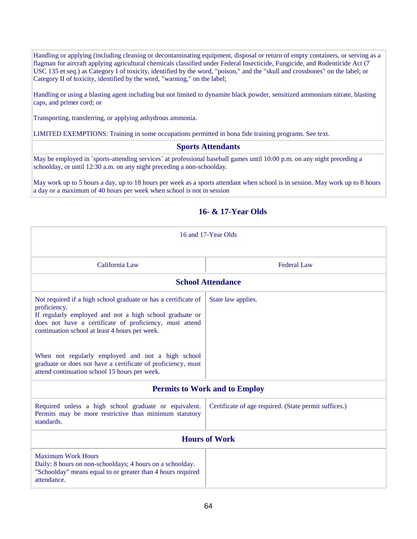Handling or applying (including cleaning or decontaminating equipment, disposal or return of empty containers, or serving as a flagman for aircraft applying agricultural chemicals classified under Federal Insecticide, Fungicide, and Rodenticide Act (7 USC 135 et seq.) as Category I of toxicity, identified by the word, "poison," and the "skull and crossbones" on the label; or Category II of toxicity, identified by the word, "warning," on the label;

Handling or using a blasting agent including but not limited to dynamite black powder, sensitized ammonium nitrate, blasting caps, and primer cord; or

Transporting, transferring, or applying anhydrous ammonia.

LIMITED EXEMPTIONS: Training in some occupations permitted in bona fide training programs. See text.

#### **Sports Attendants**

May be employed in `sports-attending services´ at professional baseball games until 10:00 p.m. on any night preceding a schoolday, or until 12:30 a.m. on any night preceding a non-schoolday.

May work up to 5 hours a day, up to 18 hours per week as a sports attendant when school is in session. May work up to 8 hours a day or a maximum of 40 hours per week when school is not in session

#### **16- & 17-Year Olds**

| 16 and 17-Year Olds                                                                                                                                                                                                                                                                                                                                                                                                          |                                                       |  |
|------------------------------------------------------------------------------------------------------------------------------------------------------------------------------------------------------------------------------------------------------------------------------------------------------------------------------------------------------------------------------------------------------------------------------|-------------------------------------------------------|--|
| California Law                                                                                                                                                                                                                                                                                                                                                                                                               | <b>Federal Law</b>                                    |  |
| <b>School Attendance</b>                                                                                                                                                                                                                                                                                                                                                                                                     |                                                       |  |
| Not required if a high school graduate or has a certificate of<br>proficiency.<br>If regularly employed and not a high school graduate or<br>does not have a certificate of proficiency, must attend<br>continuation school at least 4 hours per week.<br>When not regularly employed and not a high school<br>graduate or does not have a certificate of proficiency, must<br>attend continuation school 15 hours per week. | State law applies.                                    |  |
| <b>Permits to Work and to Employ</b>                                                                                                                                                                                                                                                                                                                                                                                         |                                                       |  |
| Required unless a high school graduate or equivalent.<br>Permits may be more restrictive than minimum statutory<br>standards.                                                                                                                                                                                                                                                                                                | Certificate of age required. (State permit suffices.) |  |
| <b>Hours of Work</b>                                                                                                                                                                                                                                                                                                                                                                                                         |                                                       |  |
| <b>Maximum Work Hours</b><br>Daily: 8 hours on non-schooldays; 4 hours on a schoolday.<br>"Schoolday" means equal to or greater than 4 hours required<br>attendance.                                                                                                                                                                                                                                                         |                                                       |  |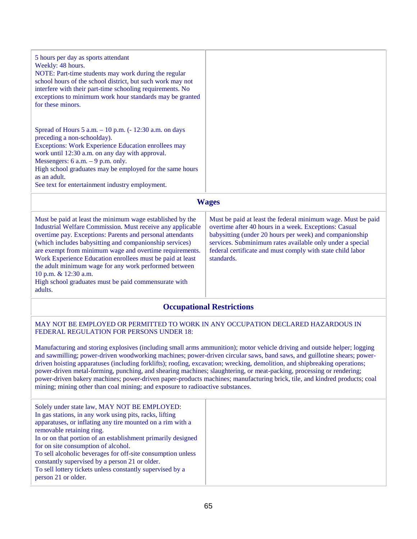| 5 hours per day as sports attendant<br>Weekly: 48 hours.<br>NOTE: Part-time students may work during the regular<br>school hours of the school district, but such work may not<br>interfere with their part-time schooling requirements. No<br>exceptions to minimum work hour standards may be granted<br>for these minors.                                             |  |  |
|--------------------------------------------------------------------------------------------------------------------------------------------------------------------------------------------------------------------------------------------------------------------------------------------------------------------------------------------------------------------------|--|--|
| Spread of Hours 5 a.m. $-10$ p.m. ( $-12:30$ a.m. on days<br>preceding a non-schoolday).<br>Exceptions: Work Experience Education enrollees may<br>work until 12:30 a.m. on any day with approval.<br>Messengers: $6 a.m. - 9 p.m.$ only.<br>High school graduates may be employed for the same hours<br>as an adult.<br>See text for entertainment industry employment. |  |  |
| <b>Wages</b>                                                                                                                                                                                                                                                                                                                                                             |  |  |

#### **Wages**

Must be paid at least the minimum wage established by the Industrial Welfare Commission. Must receive any applicable overtime pay. Exceptions: Parents and personal attendants (which includes babysitting and companionship services) are exempt from minimum wage and overtime requirements. Work Experience Education enrollees must be paid at least the adult minimum wage for any work performed between 10 p.m. & 12:30 a.m. High school graduates must be paid commensurate with

adults.

Must be paid at least the federal minimum wage. Must be paid overtime after 40 hours in a week. Exceptions: Casual babysitting (under 20 hours per week) and companionship services. Subminimum rates available only under a special federal certificate and must comply with state child labor standards.

#### **Occupational Restrictions**

#### MAY NOT BE EMPLOYED OR PERMITTED TO WORK IN ANY OCCUPATION DECLARED HAZARDOUS IN FEDERAL REGULATION FOR PERSONS UNDER 18:

Manufacturing and storing explosives (including small arms ammunition); motor vehicle driving and outside helper; logging and sawmilling; power-driven woodworking machines; power-driven circular saws, band saws, and guillotine shears; powerdriven hoisting apparatuses (including forklifts); roofing, excavation; wrecking, demolition, and shipbreaking operations; power-driven metal-forming, punching, and shearing machines; slaughtering, or meat-packing, processing or rendering; power-driven bakery machines; power-driven paper-products machines; manufacturing brick, tile, and kindred products; coal mining; mining other than coal mining; and exposure to radioactive substances.

| Solely under state law, MAY NOT BE EMPLOYED:                 |  |
|--------------------------------------------------------------|--|
| In gas stations, in any work using pits, racks, lifting      |  |
| apparatuses, or inflating any tire mounted on a rim with a   |  |
| removable retaining ring.                                    |  |
| In or on that portion of an establishment primarily designed |  |
| for on site consumption of alcohol.                          |  |
| To sell alcoholic beverages for off-site consumption unless  |  |
| constantly supervised by a person 21 or older.               |  |
|                                                              |  |
| To sell lottery tickets unless constantly supervised by a    |  |
| person 21 or older.                                          |  |
|                                                              |  |